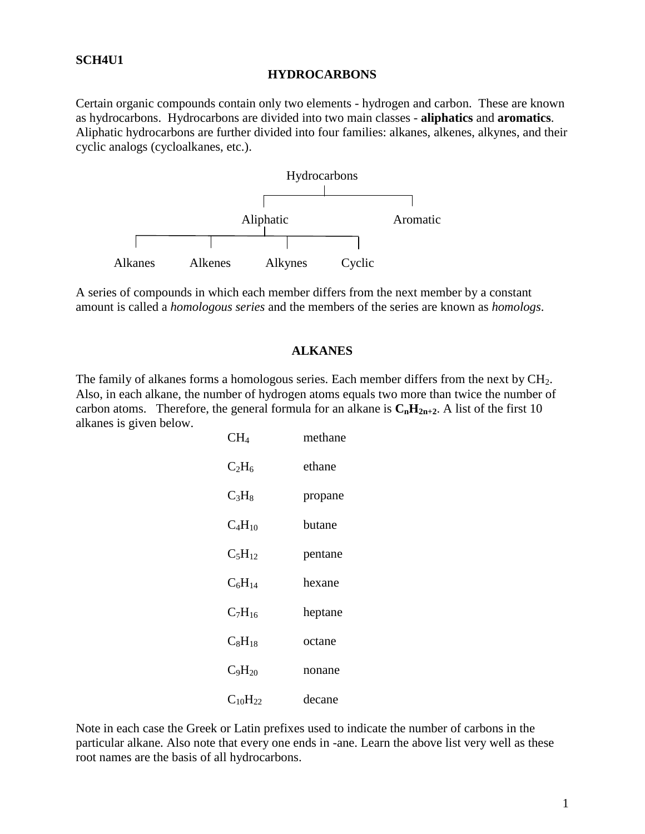#### **SCH4U1**

#### **HYDROCARBONS**

Certain organic compounds contain only two elements - hydrogen and carbon. These are known as hydrocarbons. Hydrocarbons are divided into two main classes - **aliphatics** and **aromatics**. Aliphatic hydrocarbons are further divided into four families: alkanes, alkenes, alkynes, and their cyclic analogs (cycloalkanes, etc.).



A series of compounds in which each member differs from the next member by a constant amount is called a *homologous series* and the members of the series are known as *homologs*.

#### **ALKANES**

The family of alkanes forms a homologous series. Each member differs from the next by CH<sub>2</sub>. Also, in each alkane, the number of hydrogen atoms equals two more than twice the number of carbon atoms. Therefore, the general formula for an alkane is  $C_nH_{2n+2}$ . A list of the first 10 alkanes is given below.

| CH <sub>4</sub> | methane |
|-----------------|---------|
| $C_2H_6$        | ethane  |
| $C_3H_8$        | propane |
| $C_4H_{10}$     | butane  |
| $C_5H_{12}$     | pentane |
| $C_6H_{14}$     | hexane  |
| $C_7H_{16}$     | heptane |
| $C_8H_{18}$     | octane  |
| $C_9H_{20}$     | nonane  |
| $C_{10}H_{22}$  | decane  |

Note in each case the Greek or Latin prefixes used to indicate the number of carbons in the particular alkane. Also note that every one ends in -ane. Learn the above list very well as these root names are the basis of all hydrocarbons.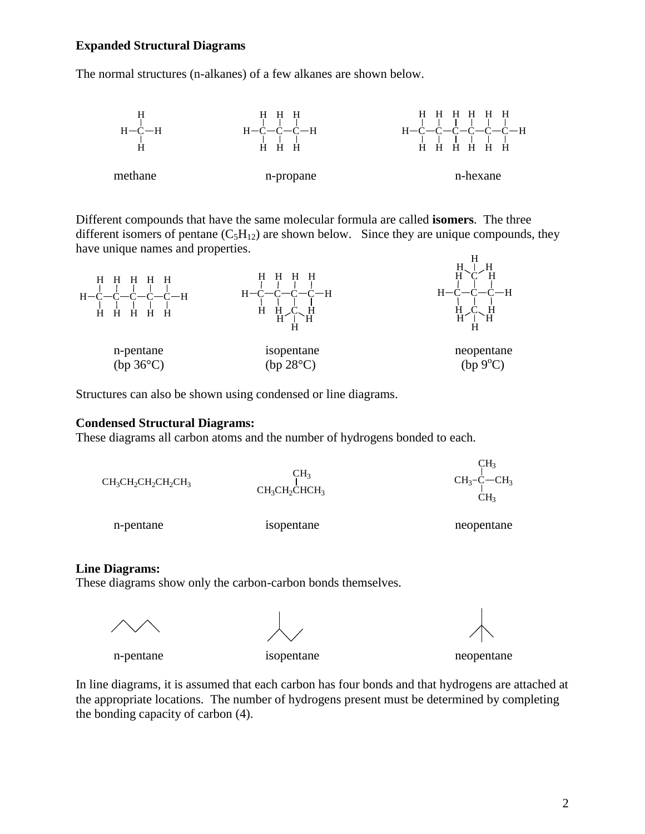#### **Expanded Structural Diagrams**

The normal structures (n-alkanes) of a few alkanes are shown below.



Different compounds that have the same molecular formula are called **isomers**. The three different isomers of pentane  $(C_5H_{12})$  are shown below. Since they are unique compounds, they have unique names and properties.



Structures can also be shown using condensed or line diagrams.

#### **Condensed Structural Diagrams:**

These diagrams all carbon atoms and the number of hydrogens bonded to each.

| $CH_3CH_2CH_2CH_2CH_3$ | CH <sub>3</sub><br>$CH3CH2CHCH3$ | CH <sub>3</sub><br>$CH3-C-CH3$<br>CH3 |
|------------------------|----------------------------------|---------------------------------------|
| n-pentane              | isopentane                       | neopentane                            |

#### **Line Diagrams:**

These diagrams show only the carbon-carbon bonds themselves.

n-pentane isopentane neopentane

In line diagrams, it is assumed that each carbon has four bonds and that hydrogens are attached at the appropriate locations. The number of hydrogens present must be determined by completing the bonding capacity of carbon (4).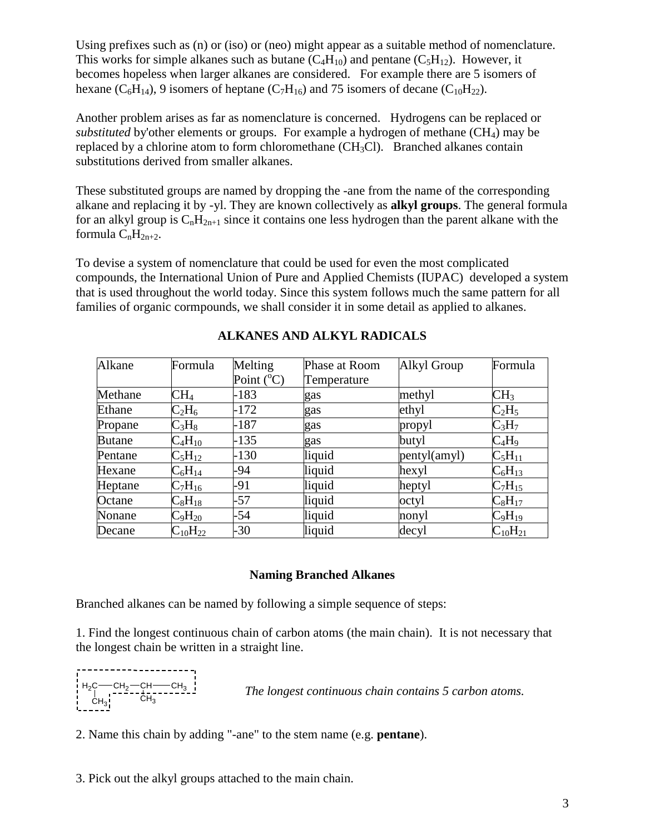Using prefixes such as (n) or (iso) or (neo) might appear as a suitable method of nomenclature. This works for simple alkanes such as butane  $(C_4H_{10})$  and pentane  $(C_5H_{12})$ . However, it becomes hopeless when larger alkanes are considered. For example there are 5 isomers of hexane  $(C_6H_{14})$ , 9 isomers of heptane  $(C_7H_{16})$  and 75 isomers of decane  $(C_{10}H_{22})$ .

Another problem arises as far as nomenclature is concerned. Hydrogens can be replaced or *substituted* by'other elements or groups. For example a hydrogen of methane (CH4) may be replaced by a chlorine atom to form chloromethane  $(CH_3Cl)$ . Branched alkanes contain substitutions derived from smaller alkanes.

These substituted groups are named by dropping the -ane from the name of the corresponding alkane and replacing it by -yl. They are known collectively as **alkyl groups**. The general formula for an alkyl group is  $C_nH_{2n+1}$  since it contains one less hydrogen than the parent alkane with the formula  $C_nH_{2n+2}$ .

To devise a system of nomenclature that could be used for even the most complicated compounds, the International Union of Pure and Applied Chemists (IUPAC) developed a system that is used throughout the world today. Since this system follows much the same pattern for all families of organic cormpounds, we shall consider it in some detail as applied to alkanes.

| Alkane        | Formula             | Melting             | Phase at Room | Alkyl Group  | Formula          |
|---------------|---------------------|---------------------|---------------|--------------|------------------|
|               |                     | Point $(^{\circ}C)$ | Temperature   |              |                  |
| Methane       | $\rm CH_4$          | $-183$              | gas           | methyl       | CH <sub>3</sub>  |
| Ethane        | $C_2H_6$            | $-172$              | gas           | ethyl        | $C_2H_5$         |
| Propane       | $C_3H_8$            | $-187$              | gas           | propyl       | $C_3H_7$         |
| <b>Butane</b> | $C_4H_{10}$         | $-135$              | gas           | butyl        | $C_4H_9$         |
| Pentane       | $C_5H_{12}$         | $-130$              | liquid        | pentyl(amyl) | $C_5H_{11}$      |
| Hexane        | $\rm{C_6H_{14}}$    | -94                 | liquid        | hexyl        | $\rm{C_6H_{13}}$ |
| Heptane       | $C_7H_{16}$         | -91                 | liquid        | heptyl       | $C_7H_{15}$      |
| Octane        | $\rm{C_8H_{18}}$    | $-57$               | liquid        | octyl        | $C_8H_{17}$      |
| Nonane        | $\rm{C_9H_{20}}$    | -54                 | liquid        | nonyl        | $C_9H_{19}$      |
| Decane        | $\rm{C_{10}H_{22}}$ | -30                 | liquid        | decyl        | $C_{10}H_{21}$   |

### **ALKANES AND ALKYL RADICALS**

#### **Naming Branched Alkanes**

Branched alkanes can be named by following a simple sequence of steps:

1. Find the longest continuous chain of carbon atoms (the main chain). It is not necessary that the longest chain be written in a straight line.



*The longest continuous chain contains 5 carbon atoms.*

2. Name this chain by adding "-ane" to the stem name (e.g. **pentane**).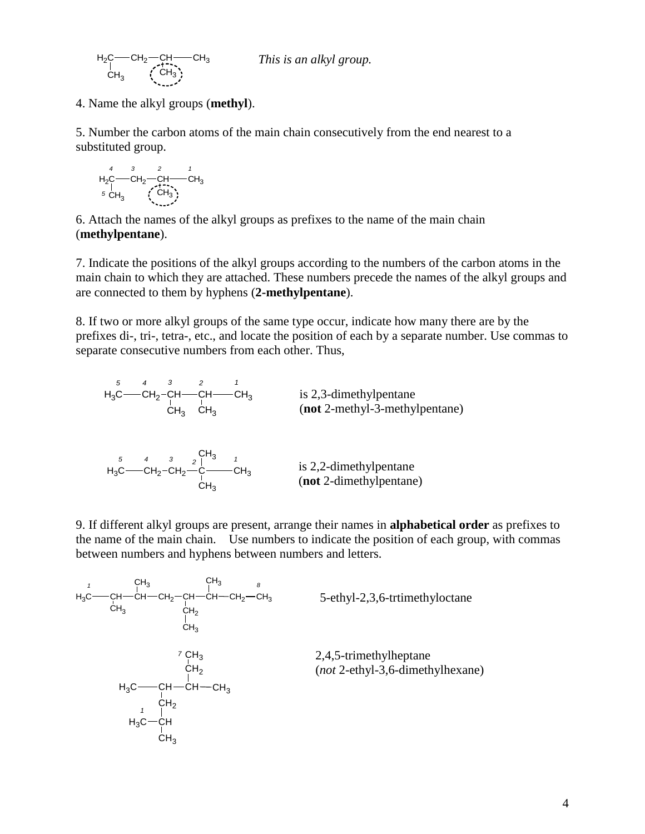*This is an alkyl group.*

 $_{\mathrm{H_2C}}$   $\leftarrow$  CH<sub>2</sub>  $\leftarrow$  CH<sub>3</sub>  $\leftarrow$  CH<sub>3</sub>  $\rm \dot{C}H_3$  (CH<sub>3</sub>

4. Name the alkyl groups (**methyl**).

5. Number the carbon atoms of the main chain consecutively from the end nearest to a substituted group.

H2C CH<sup>2</sup> CH CH<sup>3</sup> CH CH<sup>3</sup> 3 *4 3 2 1 5*

6. Attach the names of the alkyl groups as prefixes to the name of the main chain (**methylpentane**).

7. Indicate the positions of the alkyl groups according to the numbers of the carbon atoms in the main chain to which they are attached. These numbers precede the names of the alkyl groups and are connected to them by hyphens (**2-methylpentane**).

8. If two or more alkyl groups of the same type occur, indicate how many there are by the prefixes di-, tri-, tetra-, etc., and locate the position of each by a separate number. Use commas to separate consecutive numbers from each other. Thus,

is 2,3-dimethylpentane (**not** 2-methyl-3-methylpentane) CH<sup>2</sup> CH CH CH<sup>3</sup> CH<sup>3</sup> CH<sup>3</sup> H3C *5 4 3 2 1*

is 2,2-dimethylpentane (**not** 2-dimethylpentane) СН $_{\mathrm{2}}$ -СН $_{\mathrm{2}}$ —С $\mathrm{=-}$ СН $_{\mathrm{3}}$  $CH<sub>3</sub>$  $H_3C$ CH<sup>3</sup> *<sup>1</sup> 2 5 4 3*

9. If different alkyl groups are present, arrange their names in **alphabetical order** as prefixes to the name of the main chain. Use numbers to indicate the position of each group, with commas between numbers and hyphens between numbers and letters.

$$
H_3C \longrightarrow CH \longrightarrow CH \longrightarrow CH_2-CH \longrightarrow CH \longrightarrow CH_2-CH_3
$$
\n
$$
CH_3 \qquad CH_3 \qquad CH_2
$$
\n
$$
CH_3 \qquad CH_3
$$
\n
$$
CH_3
$$
\n
$$
CH_3
$$
\n
$$
CH_3
$$
\n
$$
CH_2
$$
\n
$$
H_3C \longrightarrow CH \longrightarrow CH \longrightarrow CH \longrightarrow CH_3
$$
\n
$$
H_3C \longrightarrow CH \longrightarrow CH \longrightarrow CH_3
$$
\n
$$
H_3C \longrightarrow CH \longrightarrow CH_3
$$
\n
$$
H_3C \longrightarrow CH \qquad CH_2
$$
\n
$$
H_3C \longrightarrow CH \qquad CH_3
$$
\n
$$
CH_3
$$
\n
$$
CH_3
$$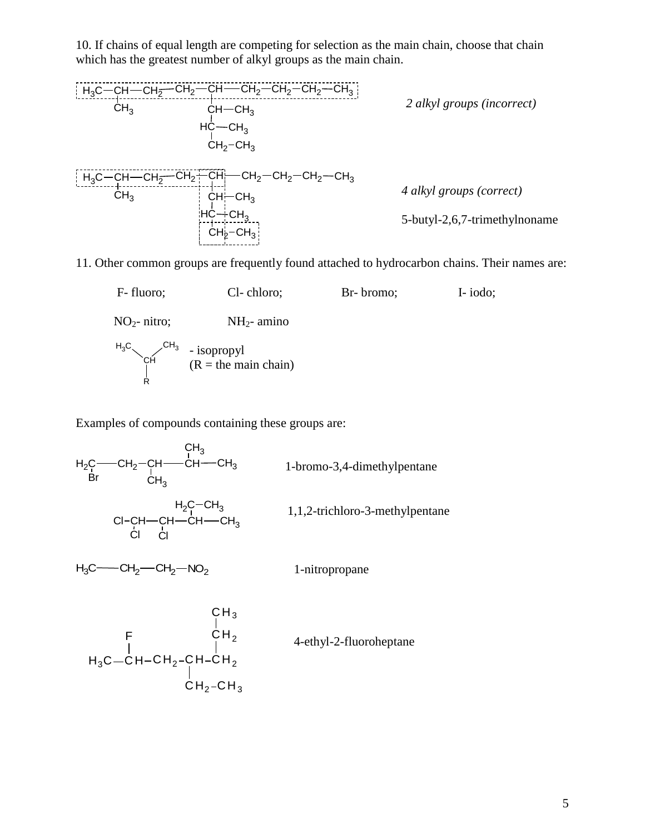10. If chains of equal length are competing for selection as the main chain, choose that chain which has the greatest number of alkyl groups as the main chain.



11. Other common groups are frequently found attached to hydrocarbon chains. Their names are:



Examples of compounds containing these groups are:

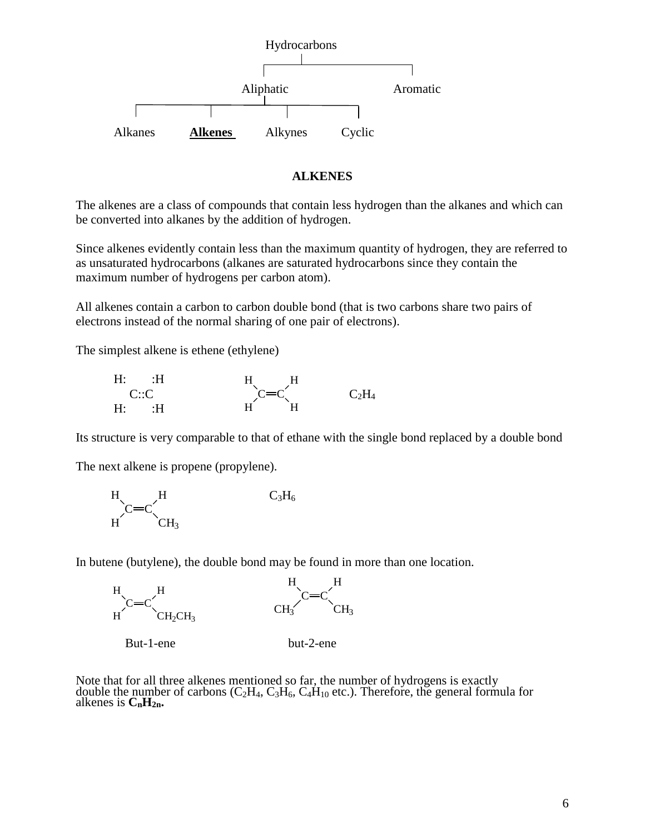

#### **ALKENES**

The alkenes are a class of compounds that contain less hydrogen than the alkanes and which can be converted into alkanes by the addition of hydrogen.

Since alkenes evidently contain less than the maximum quantity of hydrogen, they are referred to as unsaturated hydrocarbons (alkanes are saturated hydrocarbons since they contain the maximum number of hydrogens per carbon atom).

All alkenes contain a carbon to carbon double bond (that is two carbons share two pairs of electrons instead of the normal sharing of one pair of electrons).

The simplest alkene is ethene (ethylene)

| $H$ :<br>$\Box$ : H | H.<br>Н |          |
|---------------------|---------|----------|
| C::C                | $C=C$   | $C_2H_4$ |
| $\cdot$ H<br>H.     | H.      |          |

Its structure is very comparable to that of ethane with the single bond replaced by a double bond

The next alkene is propene (propylene).



In butene (butylene), the double bond may be found in more than one location.



Note that for all three alkenes mentioned so far, the number of hydrogens is exactly double the number of carbons ( $C_2H_4$ ,  $C_3H_6$ ,  $C_4H_{10}$  etc.). Therefore, the general formula for alkenes is  $\mathbf{C}_n \mathbf{H}_{2n}$ .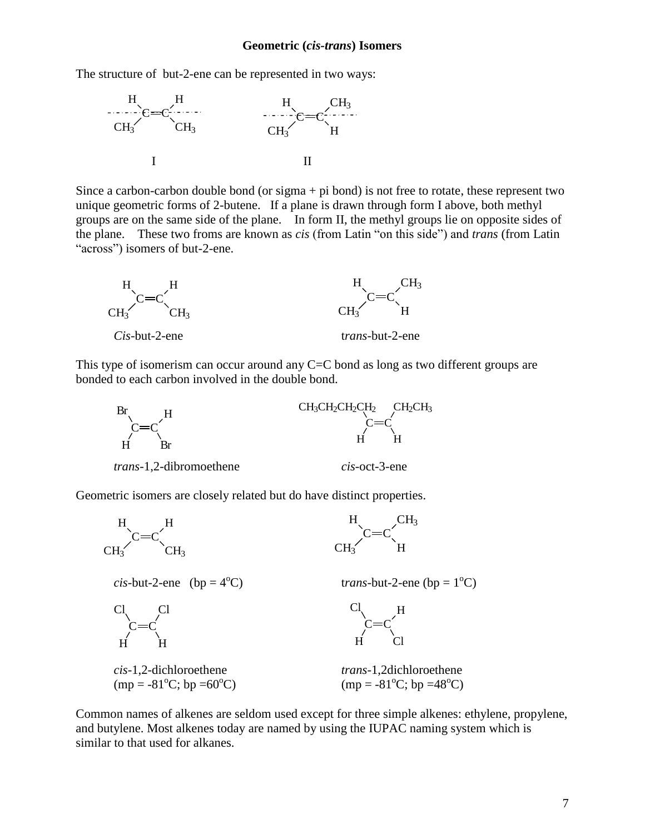#### **Geometric (***cis-trans***) Isomers**

The structure of but-2-ene can be represented in two ways:



Since a carbon-carbon double bond (or sigma  $+$  pi bond) is not free to rotate, these represent two unique geometric forms of 2-butene. If a plane is drawn through form I above, both methyl groups are on the same side of the plane. In form II, the methyl groups lie on opposite sides of the plane. These two froms are known as *cis* (from Latin "on this side") and *trans* (from Latin "across") isomers of but-2-ene.



This type of isomerism can occur around any C=C bond as long as two different groups are bonded to each carbon involved in the double bond.



Geometric isomers are closely related but do have distinct properties.



Common names of alkenes are seldom used except for three simple alkenes: ethylene, propylene, and butylene. Most alkenes today are named by using the IUPAC naming system which is similar to that used for alkanes.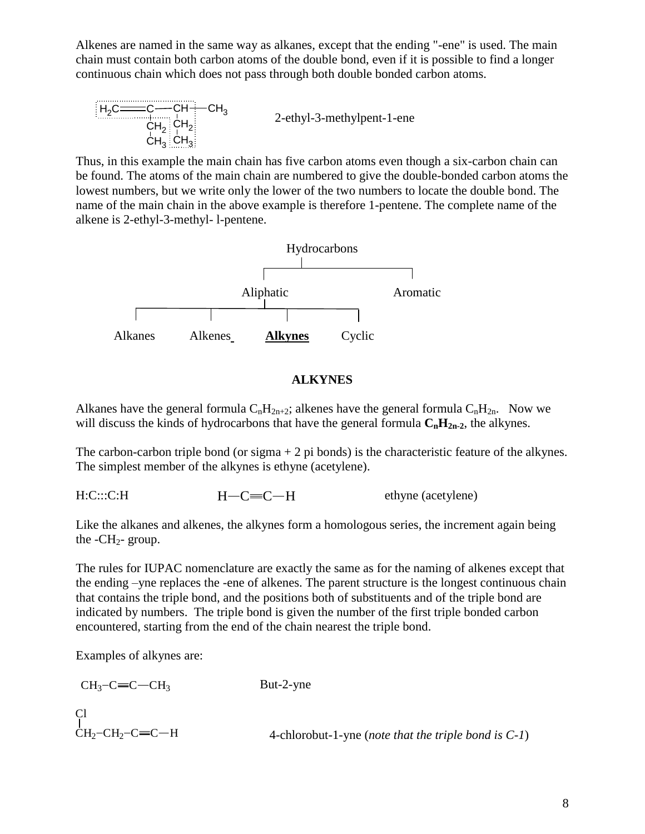Alkenes are named in the same way as alkanes, except that the ending "-ene" is used. The main chain must contain both carbon atoms of the double bond, even if it is possible to find a longer continuous chain which does not pass through both double bonded carbon atoms.

$$
H_2C \frac{C}{CH_2} \cdot C H_2 \cdot C H_3
$$
\n
$$
CH_3 \cdot CH_3
$$
\n
$$
H_3 \cdot C H_3
$$
\n
$$
H_4 \cdot C H_5
$$
\n
$$
H_5 \cdot C H_6
$$
\n
$$
H_6 \cdot C H_7
$$
\n
$$
H_7 \cdot C H_8
$$
\n
$$
H_8 \cdot C H_9
$$

Thus, in this example the main chain has five carbon atoms even though a six-carbon chain can be found. The atoms of the main chain are numbered to give the double-bonded carbon atoms the lowest numbers, but we write only the lower of the two numbers to locate the double bond. The name of the main chain in the above example is therefore 1-pentene. The complete name of the alkene is 2-ethyl-3-methyl- l-pentene.



#### **ALKYNES**

Alkanes have the general formula  $C_nH_{2n+2}$ ; alkenes have the general formula  $C_nH_{2n}$ . Now we will discuss the kinds of hydrocarbons that have the general formula  $C_nH_{2n-2}$ , the alkynes.

The carbon-carbon triple bond (or sigma  $+ 2$  pi bonds) is the characteristic feature of the alkynes. The simplest member of the alkynes is ethyne (acetylene).

 $H: C::: C:H$   $H-C=\mathbb{C}-H$  ethyne (acetylene)  $H - C = C - H$ 

Like the alkanes and alkenes, the alkynes form a homologous series, the increment again being the  $-CH<sub>2</sub>$ - group.

The rules for IUPAC nomenclature are exactly the same as for the naming of alkenes except that the ending –yne replaces the -ene of alkenes. The parent structure is the longest continuous chain that contains the triple bond, and the positions both of substituents and of the triple bond are indicated by numbers. The triple bond is given the number of the first triple bonded carbon encountered, starting from the end of the chain nearest the triple bond.

Examples of alkynes are:

| $CH_3$ -C $=$ C $-CH_3$            | But-2-yne                                                                  |
|------------------------------------|----------------------------------------------------------------------------|
| C <sub>1</sub>                     |                                                                            |
| $CH_2$ -CH <sub>2</sub> -C $=$ C-H | 4-chlorobut-1-yne ( <i>note that the triple bond is <math>C-1</math></i> ) |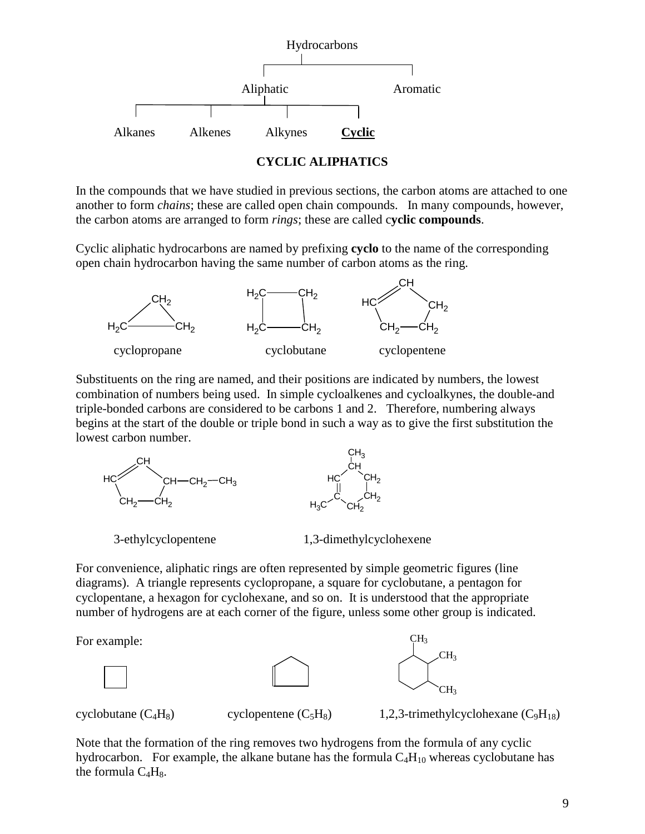

#### **CYCLIC ALIPHATICS**

In the compounds that we have studied in previous sections, the carbon atoms are attached to one another to form *chains*; these are called open chain compounds. In many compounds, however, the carbon atoms are arranged to form *rings*; these are called c**yclic compounds**.

Cyclic aliphatic hydrocarbons are named by prefixing **cyclo** to the name of the corresponding open chain hydrocarbon having the same number of carbon atoms as the ring.



Substituents on the ring are named, and their positions are indicated by numbers, the lowest combination of numbers being used. In simple cycloalkenes and cycloalkynes, the double-and triple-bonded carbons are considered to be carbons 1 and 2. Therefore, numbering always begins at the start of the double or triple bond in such a way as to give the first substitution the lowest carbon number.



For convenience, aliphatic rings are often represented by simple geometric figures (line diagrams). A triangle represents cyclopropane, a square for cyclobutane, a pentagon for cyclopentane, a hexagon for cyclohexane, and so on. It is understood that the appropriate number of hydrogens are at each corner of the figure, unless some other group is indicated.

For example:







cyclobutane  $(C_4H_8)$  cyclopentene  $(C_5H_8)$  1,2,3-trimethylcyclohexane  $(C_9H_{18})$ 

Note that the formation of the ring removes two hydrogens from the formula of any cyclic hydrocarbon. For example, the alkane butane has the formula  $C_4H_{10}$  whereas cyclobutane has the formula  $C_4H_8$ .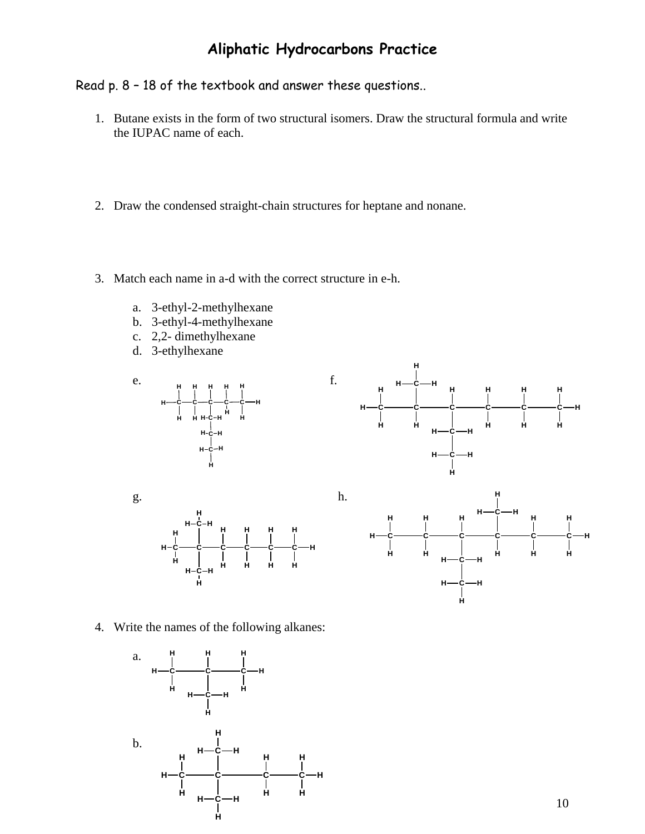## **Aliphatic Hydrocarbons Practice**

## Read p. 8 – 18 of the textbook and answer these questions..

- 1. Butane exists in the form of two structural isomers. Draw the structural formula and write the IUPAC name of each.
- 2. Draw the condensed straight-chain structures for heptane and nonane.
- 3. Match each name in a-d with the correct structure in e-h.
	- a. 3-ethyl-2-methylhexane
	- b. 3-ethyl-4-methylhexane
	- c. 2,2- dimethylhexane
	- d. 3-ethylhexane







**H**-C-H

**H**

**C**

**H H H**

**H H H**

**C** ——С——С——С——С

**H**

**H**

**H**

**H**

**H**

**H**

**H**

**H**

**H**



10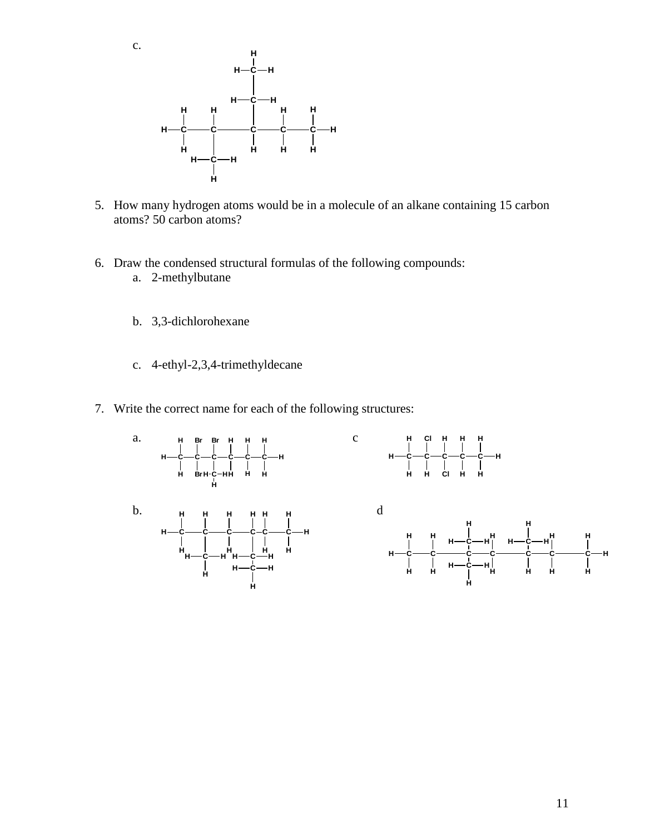c.



- 5. How many hydrogen atoms would be in a molecule of an alkane containing 15 carbon atoms? 50 carbon atoms?
- 6. Draw the condensed structural formulas of the following compounds:
	- a. 2-methylbutane
	- b. 3,3-dichlorohexane
	- c. 4-ethyl-2,3,4-trimethyldecane
- 7. Write the correct name for each of the following structures:

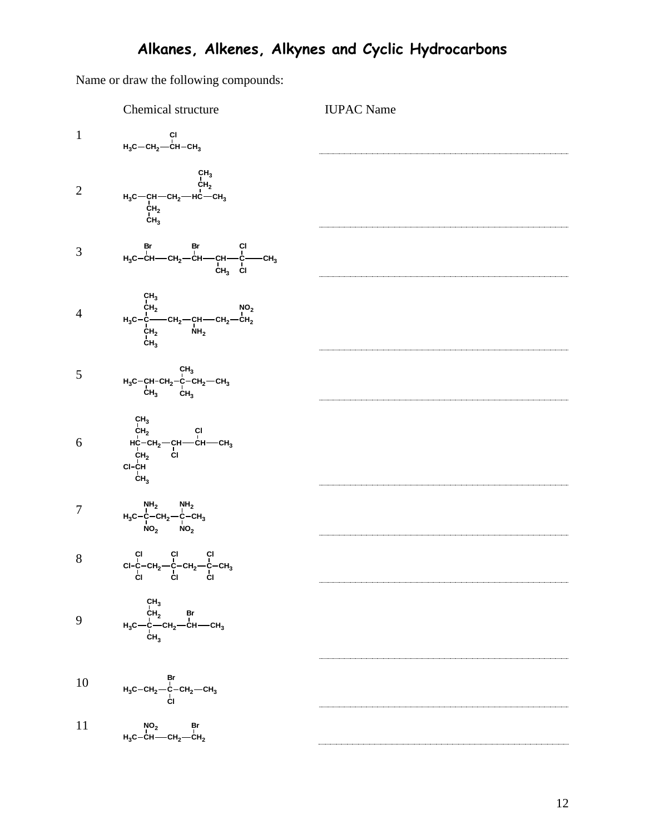Name or draw the following compounds:

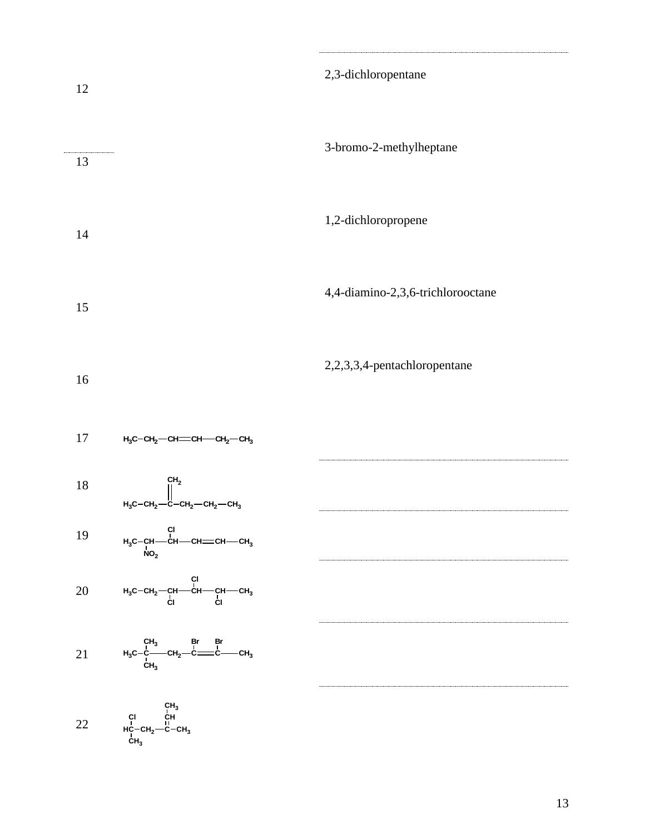| 12        |                                                                                                                                                                                                                                           | 2,3-dichloropentane               |
|-----------|-------------------------------------------------------------------------------------------------------------------------------------------------------------------------------------------------------------------------------------------|-----------------------------------|
| 13        |                                                                                                                                                                                                                                           | 3-bromo-2-methylheptane           |
| 14        |                                                                                                                                                                                                                                           | 1,2-dichloropropene               |
| 15        |                                                                                                                                                                                                                                           | 4,4-diamino-2,3,6-trichlorooctane |
| 16        |                                                                                                                                                                                                                                           | 2,2,3,3,4-pentachloropentane      |
| 17        | $H_3C$ -CH <sub>2</sub> -CH=CH-CH <sub>2</sub> -CH <sub>3</sub>                                                                                                                                                                           |                                   |
| 18        | CH <sub>2</sub><br>$H_3C-CH_2$ -C-CH <sub>2</sub> -CH <sub>2</sub> -CH <sub>3</sub>                                                                                                                                                       |                                   |
| 19        | $H_3C-CH$ $CH$ $CH$ $CH$ $CH$ $CH$ $CH$ $CH$ $CH$ $CH$                                                                                                                                                                                    |                                   |
| <b>20</b> | $H_3C-CH_2$ —CH—CH—CH—CH <sub>3</sub><br>CI CI CH                                                                                                                                                                                         |                                   |
| 21        | $\mathsf{H}_3\mathsf{C}{-}\overset{\mathsf{C}}{\mathsf{C}}{--}\overset{\mathsf{Br}}{\mathsf{C}}\mathsf{H}_2{\--}\overset{\mathsf{Br}}{\mathsf{C}}{--}\overset{\mathsf{Br}}{\mathsf{C}}{\--}\overset{\mathsf{Br}}{\mathsf{C}}\mathsf{H}_3$ |                                   |
| $22\,$    | $\begin{array}{cc} & c H_3 \\ c I & c H \\ H_0^L - c H_2 - C - c H_3 \\ c H_3 & & \end{array}$                                                                                                                                            |                                   |

13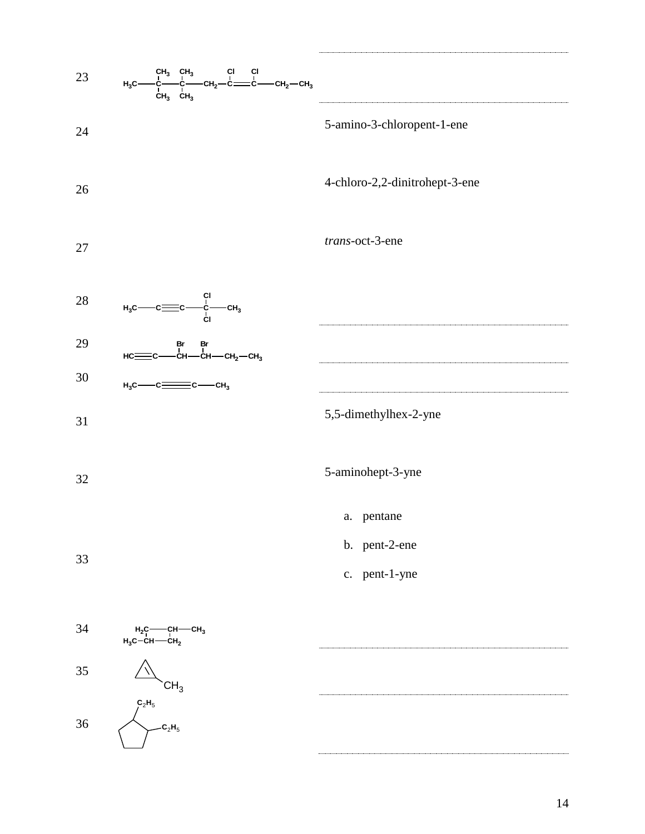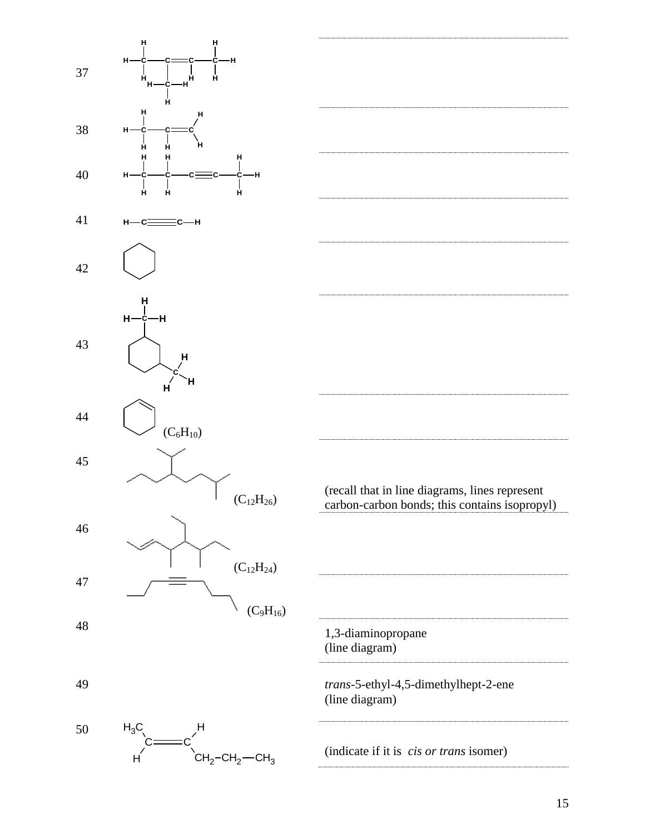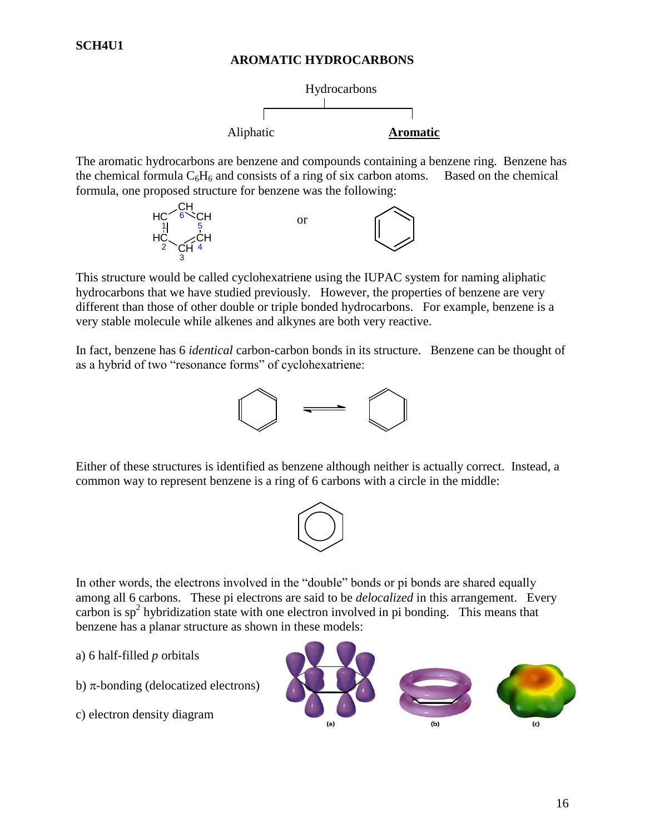#### **AROMATIC HYDROCARBONS**



The aromatic hydrocarbons are benzene and compounds containing a benzene ring. Benzene has the chemical formula  $C_6H_6$  and consists of a ring of six carbon atoms. Based on the chemical formula, one proposed structure for benzene was the following:



This structure would be called cyclohexatriene using the IUPAC system for naming aliphatic hydrocarbons that we have studied previously. However, the properties of benzene are very different than those of other double or triple bonded hydrocarbons. For example, benzene is a very stable molecule while alkenes and alkynes are both very reactive.

In fact, benzene has 6 *identical* carbon-carbon bonds in its structure. Benzene can be thought of as a hybrid of two "resonance forms" of cyclohexatriene:



Either of these structures is identified as benzene although neither is actually correct. Instead, a common way to represent benzene is a ring of 6 carbons with a circle in the middle:



In other words, the electrons involved in the "double" bonds or pi bonds are shared equally among all 6 carbons. These pi electrons are said to be *delocalized* in this arrangement. Every carbon is  $sp<sup>2</sup>$  hybridization state with one electron involved in pi bonding. This means that benzene has a planar structure as shown in these models:

- a) 6 half-filled *p* orbitals
- b)  $\pi$ -bonding (delocatized electrons)
- c) electron density diagram

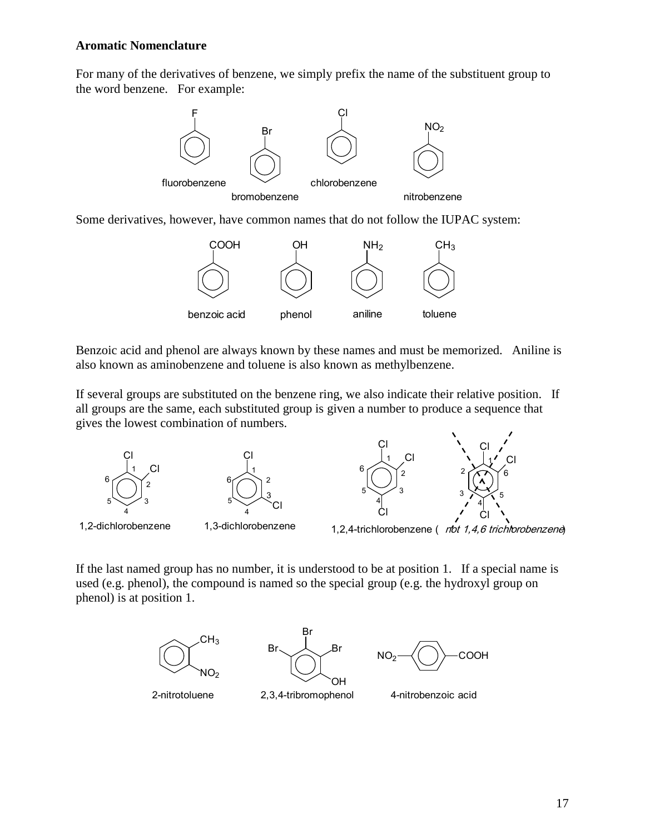#### **Aromatic Nomenclature**

For many of the derivatives of benzene, we simply prefix the name of the substituent group to the word benzene. For example:



Some derivatives, however, have common names that do not follow the IUPAC system:



Benzoic acid and phenol are always known by these names and must be memorized. Aniline is also known as aminobenzene and toluene is also known as methylbenzene.

If several groups are substituted on the benzene ring, we also indicate their relative position. If all groups are the same, each substituted group is given a number to produce a sequence that gives the lowest combination of numbers.





1,2-dichlorobenzene 1,3-dichlorobenzene 4

Cl

2

3

Cl



1,2,4-trichlorobenzene ( *not 1,4,6 trichlorobenzene*)

If the last named group has no number, it is understood to be at position 1. If a special name is used (e.g. phenol), the compound is named so the special group (e.g. the hydroxyl group on phenol) is at position 1.

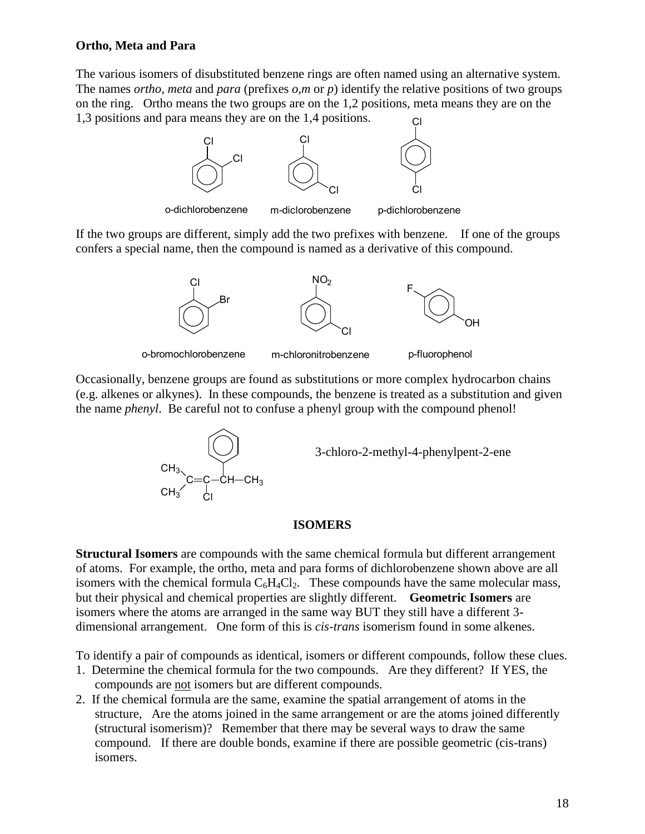#### **Ortho, Meta and Para**

The various isomers of disubstituted benzene rings are often named using an alternative system. The names *ortho*, *meta* and *para* (prefixes *o*,*m* or *p*) identify the relative positions of two groups on the ring. Ortho means the two groups are on the 1,2 positions, meta means they are on the 1,3 positions and para means they are on the 1,4 positions. Cl



If the two groups are different, simply add the two prefixes with benzene. If one of the groups confers a special name, then the compound is named as a derivative of this compound.



Occasionally, benzene groups are found as substitutions or more complex hydrocarbon chains (e.g. alkenes or alkynes). In these compounds, the benzene is treated as a substitution and given the name *phenyl*. Be careful not to confuse a phenyl group with the compound phenol!



3-chloro-2-methyl-4-phenylpent-2-ene

#### **ISOMERS**

**Structural Isomers** are compounds with the same chemical formula but different arrangement of atoms. For example, the ortho, meta and para forms of dichlorobenzene shown above are all isomers with the chemical formula  $C_6H_4Cl_2$ . These compounds have the same molecular mass, but their physical and chemical properties are slightly different. **Geometric Isomers** are isomers where the atoms are arranged in the same way BUT they still have a different 3 dimensional arrangement. One form of this is *cis-trans* isomerism found in some alkenes.

To identify a pair of compounds as identical, isomers or different compounds, follow these clues.

- 1. Determine the chemical formula for the two compounds. Are they different? If YES, the compounds are not isomers but are different compounds.
- 2. If the chemical formula are the same, examine the spatial arrangement of atoms in the structure, Are the atoms joined in the same arrangement or are the atoms joined differently (structural isomerism)? Remember that there may be several ways to draw the same compound. If there are double bonds, examine if there are possible geometric (cis-trans) isomers.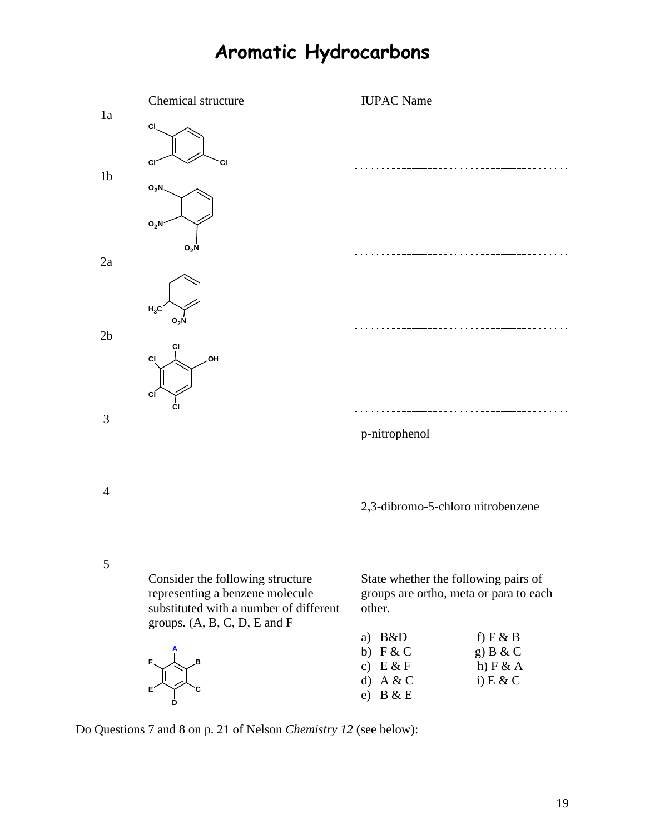# **Aromatic Hydrocarbons**



Do Questions 7 and 8 on p. 21 of Nelson *Chemistry 12* (see below):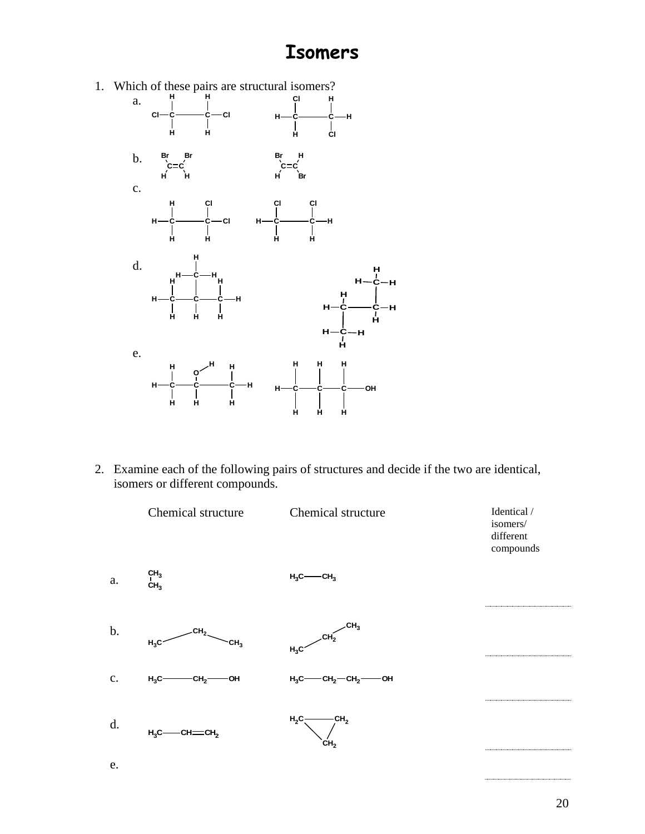## **Isomers**



2. Examine each of the following pairs of structures and decide if the two are identical, isomers or different compounds.

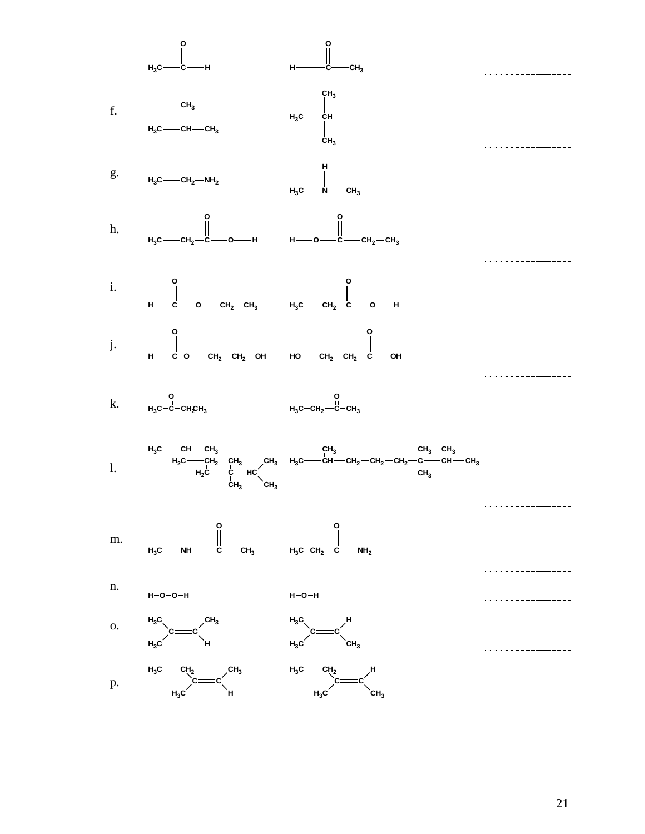

21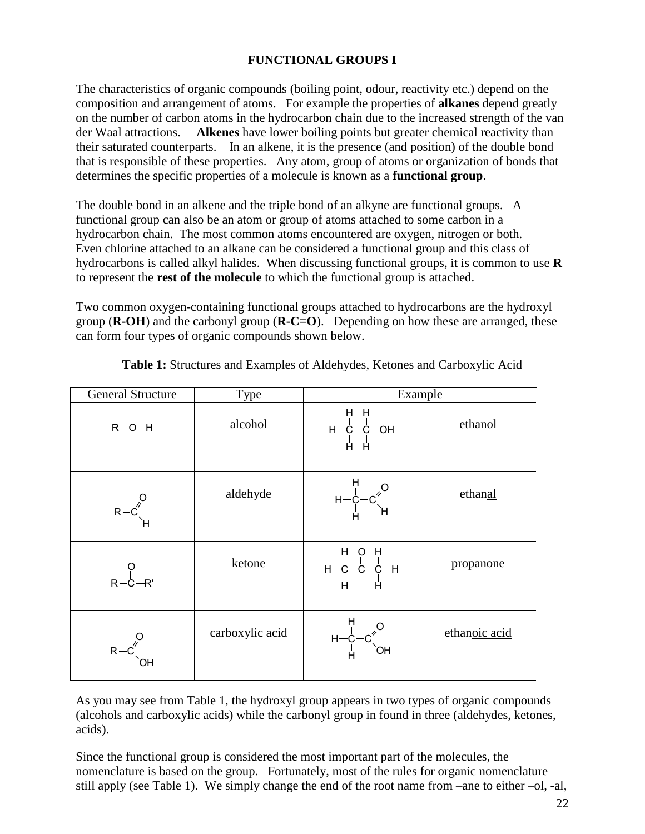### **FUNCTIONAL GROUPS I**

The characteristics of organic compounds (boiling point, odour, reactivity etc.) depend on the composition and arrangement of atoms. For example the properties of **alkanes** depend greatly on the number of carbon atoms in the hydrocarbon chain due to the increased strength of the van der Waal attractions. **Alkenes** have lower boiling points but greater chemical reactivity than their saturated counterparts. In an alkene, it is the presence (and position) of the double bond that is responsible of these properties. Any atom, group of atoms or organization of bonds that determines the specific properties of a molecule is known as a **functional group**.

The double bond in an alkene and the triple bond of an alkyne are functional groups. A functional group can also be an atom or group of atoms attached to some carbon in a hydrocarbon chain. The most common atoms encountered are oxygen, nitrogen or both. Even chlorine attached to an alkane can be considered a functional group and this class of hydrocarbons is called alkyl halides. When discussing functional groups, it is common to use **R** to represent the **rest of the molecule** to which the functional group is attached.

Two common oxygen-containing functional groups attached to hydrocarbons are the hydroxyl group (**R-OH**) and the carbonyl group (**R-C=O**). Depending on how these are arranged, these can form four types of organic compounds shown below.

| <b>General Structure</b>                                                                                                                                                                                                                                                                    | Type            | Example                  |               |  |
|---------------------------------------------------------------------------------------------------------------------------------------------------------------------------------------------------------------------------------------------------------------------------------------------|-----------------|--------------------------|---------------|--|
| $R - O - H$                                                                                                                                                                                                                                                                                 | alcohol         | H H<br>H-C-C-OH<br>L L   | ethanol       |  |
|                                                                                                                                                                                                                                                                                             | aldehyde        | $H - C - C$ <sup>O</sup> | ethanal       |  |
| $O \parallel R-C-R'$                                                                                                                                                                                                                                                                        | ketone          | $H - C - C - C - H$      | propanone     |  |
| $R-C$                                                                                                                                                                                                                                                                                       | carboxylic acid | $H - C - C$ <sup>O</sup> | ethanoic acid |  |
| As you may see from Table 1, the hydroxyl group appears in two types of organic compounds<br>(alcohols and carboxylic acids) while the carbonyl group in found in three (aldehydes, ketones,<br>acids).                                                                                     |                 |                          |               |  |
| Since the functional group is considered the most important part of the molecules, the<br>nomenclature is based on the group. Fortunately, most of the rules for organic nomenclature<br>still apply (see Table 1). We simply change the end of the root name from –ane to either –ol, -al, |                 |                          |               |  |

**Table 1:** Structures and Examples of Aldehydes, Ketones and Carboxylic Acid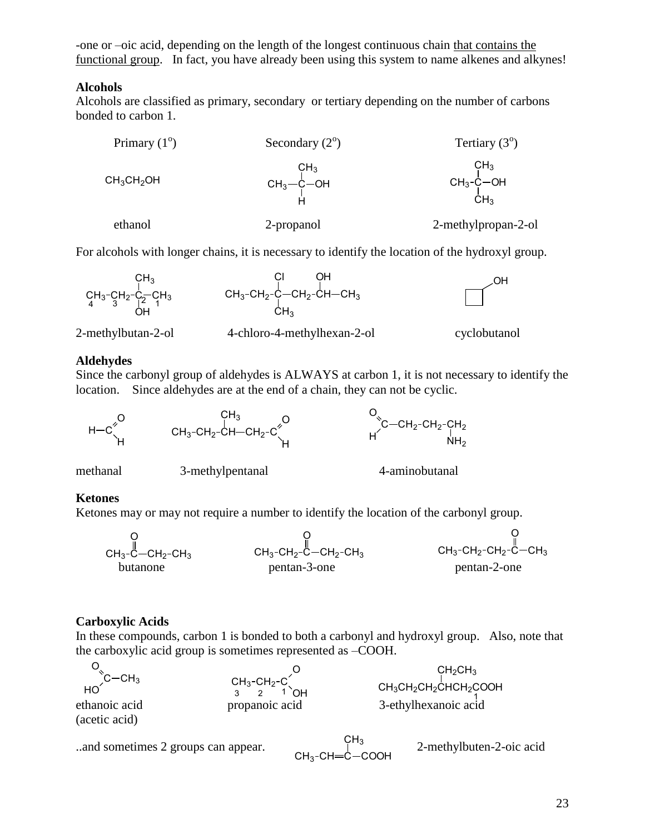-one or –oic acid, depending on the length of the longest continuous chain that contains the functional group. In fact, you have already been using this system to name alkenes and alkynes!

#### **Alcohols**

Alcohols are classified as primary, secondary or tertiary depending on the number of carbons bonded to carbon 1.

| Primary $(1^{\circ})$ | Secondary $(2^{\circ})$         | Tertiary $(3^{\circ})$                                          |
|-----------------------|---------------------------------|-----------------------------------------------------------------|
| $CH_3CH_2OH$          | $CH_3$<br>CH <sub>3</sub> -C-OH | CH <sub>3</sub><br>$CH_3-\overset{1}{C}$ -OH<br>CH <sub>3</sub> |
| ethanol               | 2-propanol                      | 2-methylpropan-2-ol                                             |

For alcohols with longer chains, it is necessary to identify the location of the hydroxyl group.



#### **Aldehydes**

Since the carbonyl group of aldehydes is ALWAYS at carbon 1, it is not necessary to identify the location. Since aldehydes are at the end of a chain, they can not be cyclic.



methanal 3-methylpentanal 4-aminobutanal

## **Ketones**

Ketones may or may not require a number to identify the location of the carbonyl group.



## **Carboxylic Acids**

In these compounds, carbon 1 is bonded to both a carbonyl and hydroxyl group. Also, note that the carboxylic acid group is sometimes represented as –COOH.

|                                                       |                                                 | CH <sub>2</sub> CH <sub>3</sub>                  |
|-------------------------------------------------------|-------------------------------------------------|--------------------------------------------------|
| $\overline{C}-CH_3$<br>ethanoic acid<br>(acetic acid) | $CH_3-CH_2-C$<br>3 2 1<br>`NH<br>propanoic acid | $CH_3CH_2CH_2CHCH_2COOH$<br>3-ethylhexanoic acid |
|                                                       |                                                 |                                                  |

```
..and sometimes 2 groups can appear. 2-methylbuten-2-oic acid
```
 $\mathsf{CH}_{3}\text{-}\mathsf{CH}\text{=} \mathsf{C} \cdot$  $CH<sub>3</sub>$ COOH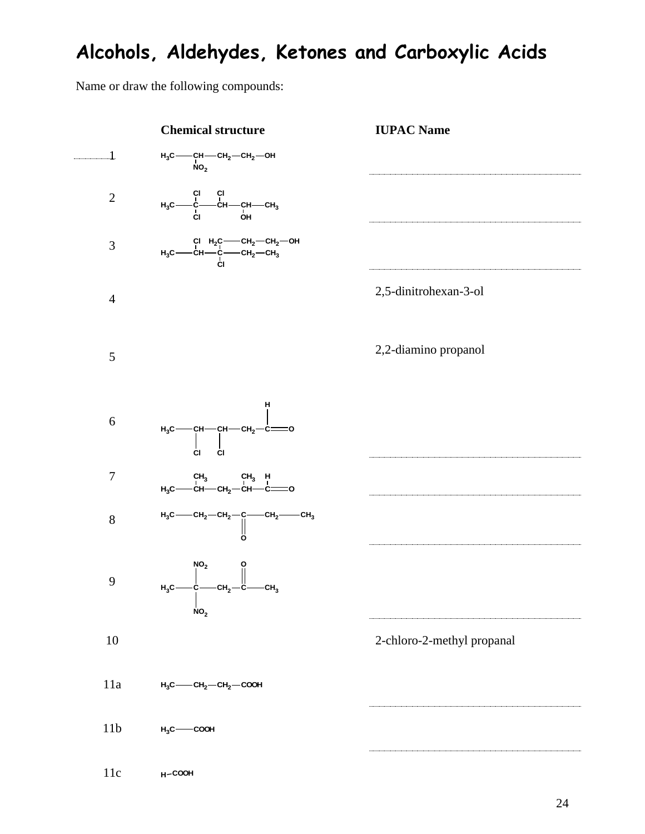## **Alcohols, Aldehydes, Ketones and Carboxylic Acids**

Name or draw the following compounds:

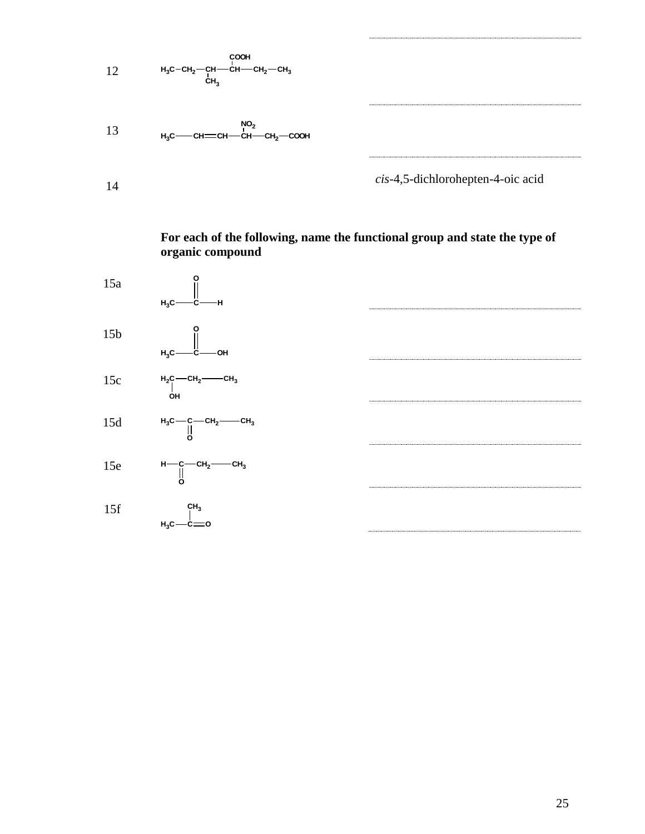

**For each of the following, name the functional group and state the type of organic compound**

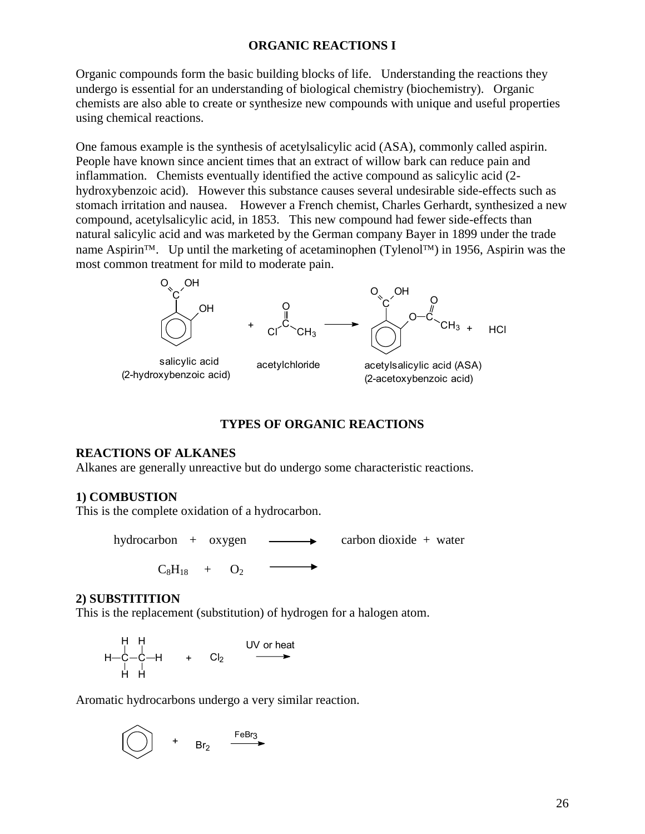#### **ORGANIC REACTIONS I**

Organic compounds form the basic building blocks of life. Understanding the reactions they undergo is essential for an understanding of biological chemistry (biochemistry). Organic chemists are also able to create or synthesize new compounds with unique and useful properties using chemical reactions.

One famous example is the synthesis of acetylsalicylic acid (ASA), commonly called aspirin. People have known since ancient times that an extract of willow bark can reduce pain and inflammation. Chemists eventually identified the active compound as salicylic acid (2 hydroxybenzoic acid). However this substance causes several undesirable side-effects such as stomach irritation and nausea. However a French chemist, Charles Gerhardt, synthesized a new compound, acetylsalicylic acid, in 1853. This new compound had fewer side-effects than natural salicylic acid and was marketed by the German company Bayer in 1899 under the trade name Aspirin<sup>TM</sup>. Up until the marketing of acetaminophen (Tylenol<sup>TM</sup>) in 1956, Aspirin was the most common treatment for mild to moderate pain.



#### **TYPES OF ORGANIC REACTIONS**

#### **REACTIONS OF ALKANES**

Alkanes are generally unreactive but do undergo some characteristic reactions.

#### **1) COMBUSTION**

This is the complete oxidation of a hydrocarbon.

hydrocarbon +  $oxygen$   $\longrightarrow$  carbon dioxide + water

 $C_8H_{18}$  +  $O_2$ 

#### **2) SUBSTITITION**

This is the replacement (substitution) of hydrogen for a halogen atom.

H H  
H-C-C-H + Cl<sub>2</sub> 
$$
UV
$$
 or heat  
H H  
H H

Aromatic hydrocarbons undergo a very similar reaction.

$$
\bigodot + Br_2 \xrightarrow{FeBr_3}
$$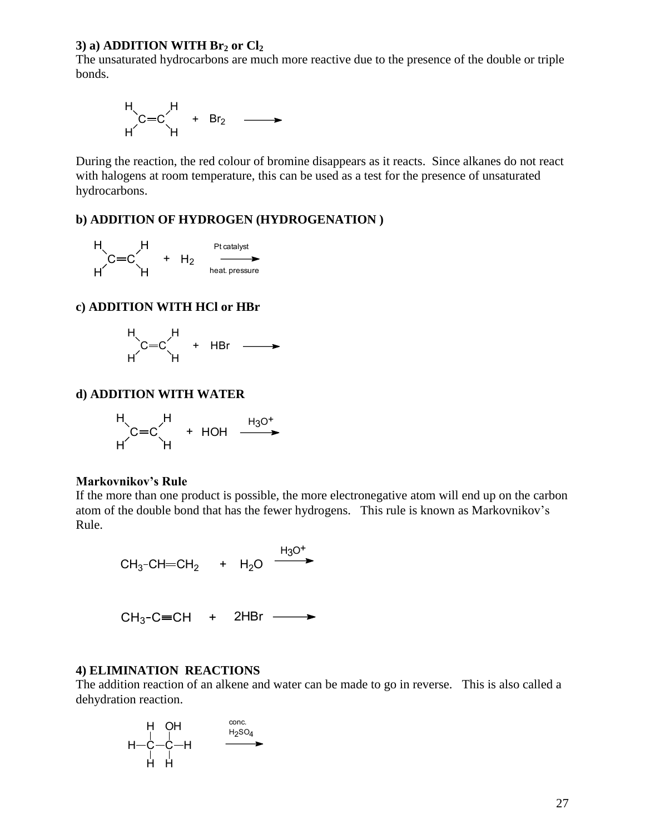#### **3) a) ADDITION WITH Br<sup>2</sup> or Cl<sup>2</sup>**

The unsaturated hydrocarbons are much more reactive due to the presence of the double or triple bonds.

$$
H\left\{\n \begin{array}{ccc}\n \vdots \\
 \mathbf{C} & \mathbf{C} \\
 \mathbf{H} & \mathbf{H}\n \end{array}\n \right.\n \longrightarrow\n \mathbf{H}\n \longrightarrow
$$

During the reaction, the red colour of bromine disappears as it reacts. Since alkanes do not react with halogens at room temperature, this can be used as a test for the presence of unsaturated hydrocarbons.

#### **b) ADDITION OF HYDROGEN (HYDROGENATION )**

$$
\begin{array}{ccc}\nH & H & \text{Pictatalyst} \\
C=C & + & H_2 & \xrightarrow{\text{heat} \text{ pressure}} \\
H & H & \text{heat} \text{ pressure}\n\end{array}
$$

#### **c) ADDITION WITH HCl or HBr**

$$
H\left(\text{C}=C\right) H + HBr \longrightarrow
$$

#### **d) ADDITION WITH WATER**

$$
H\left(\text{C}=C\right)_{H} + HOH \xrightarrow{H_3O^+}
$$

#### **Markovnikov's Rule**

If the more than one product is possible, the more electronegative atom will end up on the carbon atom of the double bond that has the fewer hydrogens. This rule is known as Markovnikov's Rule.

$$
CH_3\text{-}CH=\text{CH}_2 + H_2O \xrightarrow{H_3O^+}
$$

$$
CH_3-C=CH + 2HBr \longrightarrow
$$

#### **4) ELIMINATION REACTIONS**

The addition reaction of an alkene and water can be made to go in reverse. This is also called a dehydration reaction.

$$
\begin{array}{ccc}\nH & OH & & \stackrel{\text{conc.}}{\longrightarrow} \\
| & | & \stackrel{\text{H-}C}{\longrightarrow}H & & \stackrel{\text{H}_{2}\text{SO}_{4}}{\longrightarrow} \\
| & | & \stackrel{\text{H-}C}{\longrightarrow}H & & \stackrel{\text{H}_{2}\text{SO}_{4}}{\longrightarrow} \\
\end{array}
$$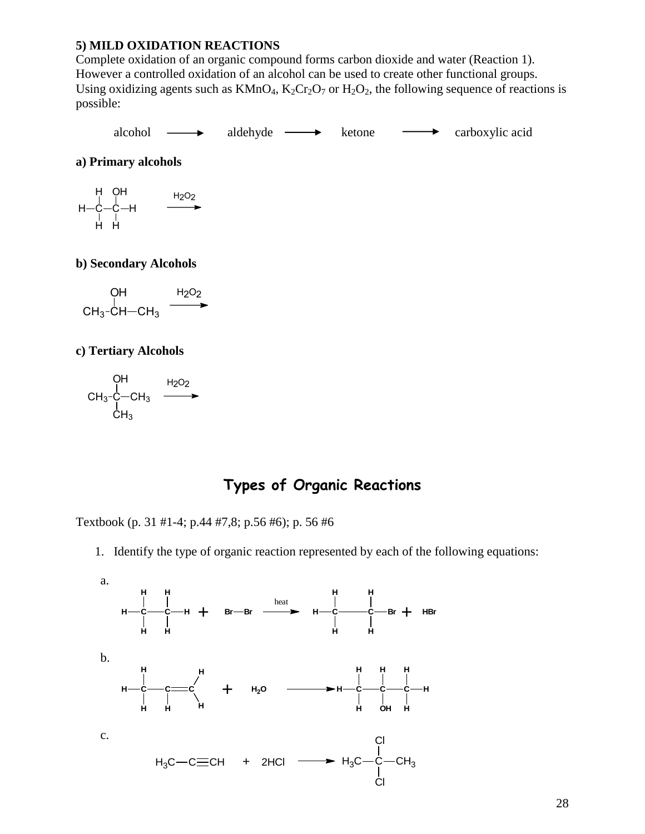#### **5) MILD OXIDATION REACTIONS**

Complete oxidation of an organic compound forms carbon dioxide and water (Reaction 1). However a controlled oxidation of an alcohol can be used to create other functional groups. Using oxidizing agents such as  $KMnO_4$ ,  $K_2Cr_2O_7$  or  $H_2O_2$ , the following sequence of reactions is possible:

alcohol  $\longrightarrow$  aldehyde  $\longrightarrow$  ketone  $\longrightarrow$  carboxylic acid

**a) Primary alcohols**

$$
\begin{array}{c}\nH & OH \\
H & -C & -H \\
H & H & \xrightarrow{H_2O_2} \\
H & H & \xrightarrow{H_1} \n\end{array}
$$

#### **b) Secondary Alcohols**

$$
\begin{array}{ccc}\n & \text{OH} & \text{H}_2\text{O}_2 \\
 & \downarrow & \text{CH}_3-\text{CH}-\text{CH}_3 & \longrightarrow\n\end{array}
$$

#### **c) Tertiary Alcohols**

$$
\begin{array}{ccc}\n & \text{OH} & \text{H}_2\text{O}_2 \\
 & \downarrow & \text{H}_3\text{-C}-\text{CH}_3 & \longrightarrow \\
 & \downarrow & \text{CH}_3 & \longrightarrow\n\end{array}
$$

## **Types of Organic Reactions**

Textbook (p. 31 #1-4; p.44 #7,8; p.56 #6); p. 56 #6

1. Identify the type of organic reaction represented by each of the following equations:

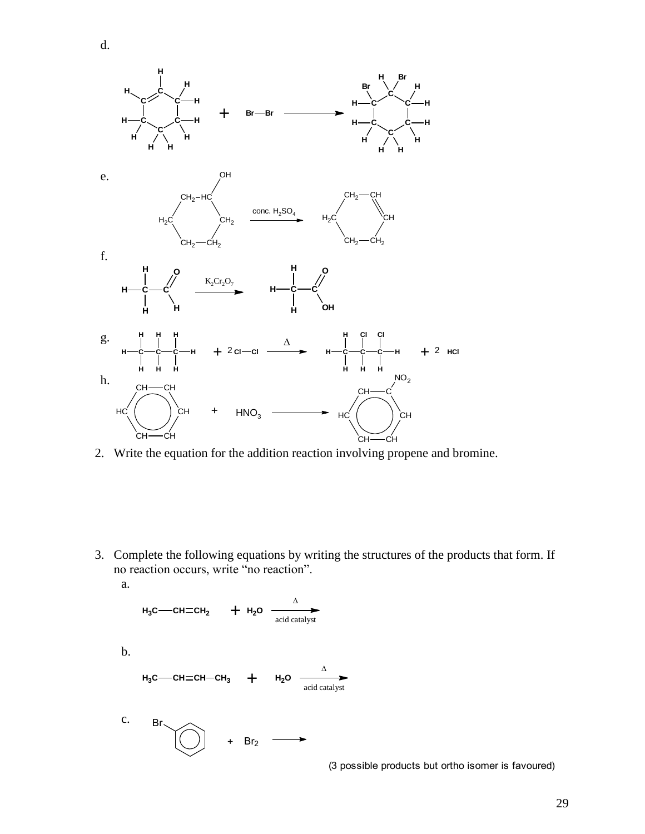

d.

2. Write the equation for the addition reaction involving propene and bromine.

3. Complete the following equations by writing the structures of the products that form. If no reaction occurs, write "no reaction". a.

H<sub>3</sub>C—CH=CH<sub>2</sub> 
$$
\rightarrow
$$
 H<sub>2</sub>O  $\xrightarrow{\Delta}$   
\n $H_3C$ —CH=CH—CH<sub>3</sub>  $\rightarrow$  H<sub>2</sub>O  $\xrightarrow{\Delta}$   
\n $H_3C$ —CH=CH—CH<sub>3</sub>  $\rightarrow$  H<sub>2</sub>O  $\xrightarrow{\Delta}$   
\n $\xrightarrow{\Delta}$   
\n $\xrightarrow{\Delta}$   
\nC. Br  
\n $\rightarrow$  H<sub>2</sub>O  $\xrightarrow{\Delta}$ 

(3 possible products but ortho isomer is favoured)

29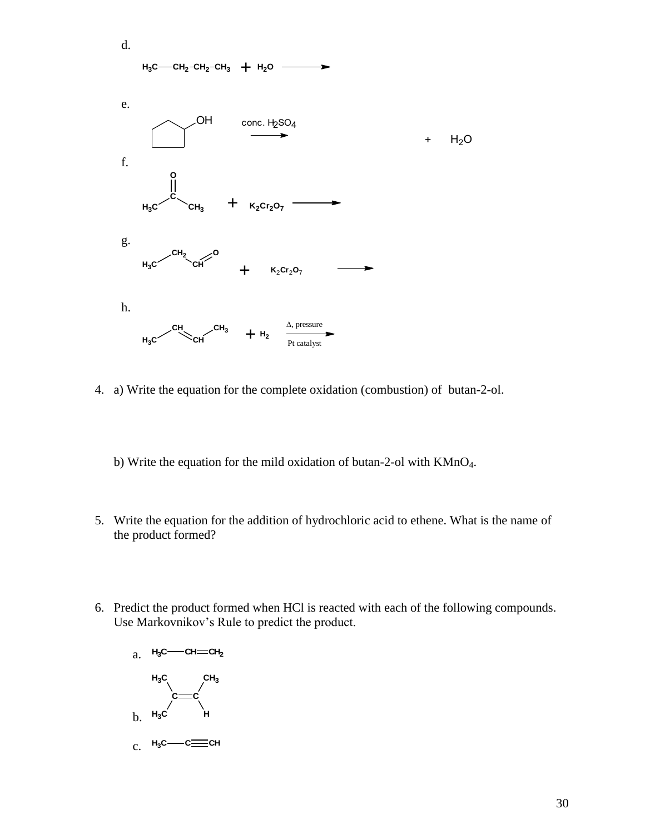

- 4. a) Write the equation for the complete oxidation (combustion) of butan-2-ol.
	- b) Write the equation for the mild oxidation of butan-2-ol with KMnO4.
- 5. Write the equation for the addition of hydrochloric acid to ethene. What is the name of the product formed?
- 6. Predict the product formed when HCl is reacted with each of the following compounds. Use Markovnikov's Rule to predict the product.

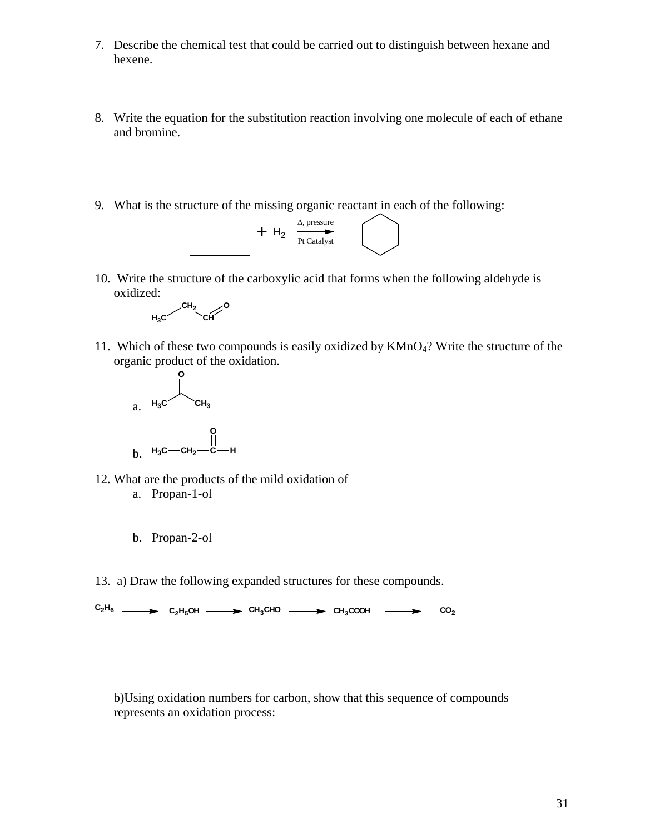- 7. Describe the chemical test that could be carried out to distinguish between hexane and hexene.
- 8. Write the equation for the substitution reaction involving one molecule of each of ethane and bromine.
- 9. What is the structure of the missing organic reactant in each of the following:



10. Write the structure of the carboxylic acid that forms when the following aldehyde is oxidized:



11. Which of these two compounds is easily oxidized by  $KMnO<sub>4</sub>$ ? Write the structure of the organic product of the oxidation.



- 12. What are the products of the mild oxidation of
	- a. Propan-1-ol
	- b. Propan-2-ol
- 13. a) Draw the following expanded structures for these compounds.

 $C_2H_6$  **C**<sub>2</sub>H<sub>5</sub>OH **CH<sub>3</sub>CHO CH<sub>3</sub>COOH CO**<sub>2</sub>

b)Using oxidation numbers for carbon, show that this sequence of compounds represents an oxidation process: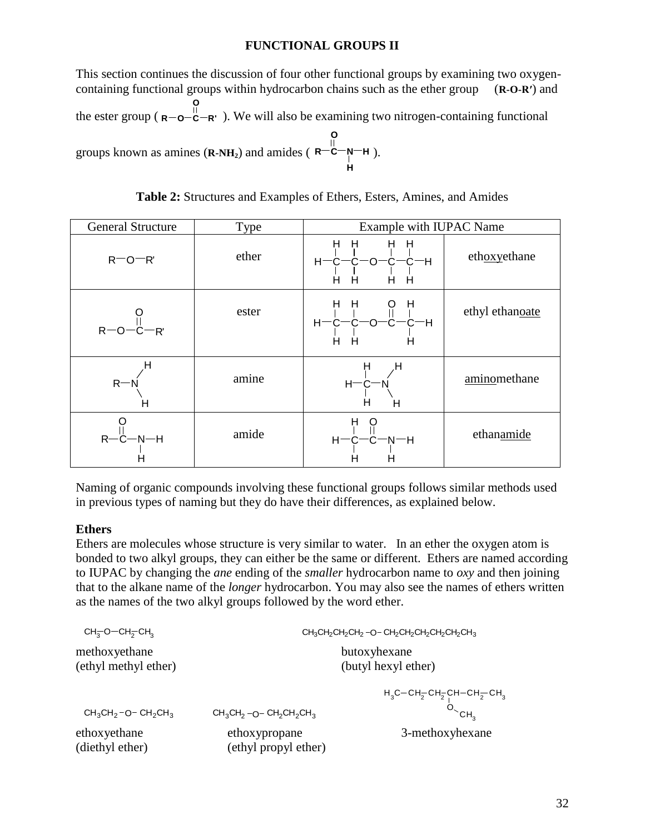### **FUNCTIONAL GROUPS II**

This section continues the discussion of four other functional groups by examining two oxygencontaining functional groups within hydrocarbon chains such as the ether group (**R-O-R′**) and the ester group  $(\mathbf{R} - \mathbf{o} - \mathbf{c})$ **O**  $R - 0 - C - R'$ . We will also be examining two nitrogen-containing functional groups known as amines  $(R-NH_2)$  and amides ( $R-C$ **O R**—C—N—H ).

| <b>General Structure</b> | Type  | Example with IUPAC Name                                   |                 |
|--------------------------|-------|-----------------------------------------------------------|-----------------|
| $R$ <sup>-O-R'</sup>     | ether | H<br>H<br>Н<br>н<br>с—н<br>$H^-$<br>O<br>н<br>н<br>н<br>H | ethoxyethane    |
| $R - O - C - R$          | ester | H<br>н<br>H<br>Ő<br>Η<br>≎—н<br>н                         | ethyl ethanoate |
| $R - N$<br>Н             | amine | н<br>Н<br>$H-C-N$<br>н<br>н                               | aminomethane    |
| $R-C-N-H$                | amide | н<br>$H =$<br>—H<br>C                                     | ethanamide      |

**Table 2:** Structures and Examples of Ethers, Esters, Amines, and Amides

**H**

Naming of organic compounds involving these functional groups follows similar methods used in previous types of naming but they do have their differences, as explained below.

### **Ethers**

Ethers are molecules whose structure is very similar to water. In an ether the oxygen atom is bonded to two alkyl groups, they can either be the same or different. Ethers are named according to IUPAC by changing the *ane* ending of the *smaller* hydrocarbon name to *oxy* and then joining that to the alkane name of the *longer* hydrocarbon. You may also see the names of ethers written as the names of the two alkyl groups followed by the word ether.

| $CH_{3}$ -O $CH_{2}$ -CH <sub>3</sub> | CH <sub>3</sub> CH <sub>2</sub> CH <sub>2</sub> CH <sub>2</sub> -O-CH <sub>2</sub> CH <sub>2</sub> CH <sub>2</sub> CH <sub>2</sub> CH <sub>3</sub> |                                                                                                    |  |
|---------------------------------------|----------------------------------------------------------------------------------------------------------------------------------------------------|----------------------------------------------------------------------------------------------------|--|
| methoxyethane<br>(ethyl methyl ether) |                                                                                                                                                    | butoxyhexane<br>(butyl hexyl ether)                                                                |  |
| $CH3CH2-O-CH2CH3$                     | $CH3CH2-O-CH2CH2CH3$                                                                                                                               | $H_3C$ – CH <sub>2</sub> CH <sub>2</sub> CH – CH <sub>2</sub> CH <sub>3</sub><br>$O_{\text{CH}_3}$ |  |
| ethoxyethane<br>(diethyl ether)       | ethoxypropane<br>(ethyl propyl ether)                                                                                                              | 3-methoxyhexane                                                                                    |  |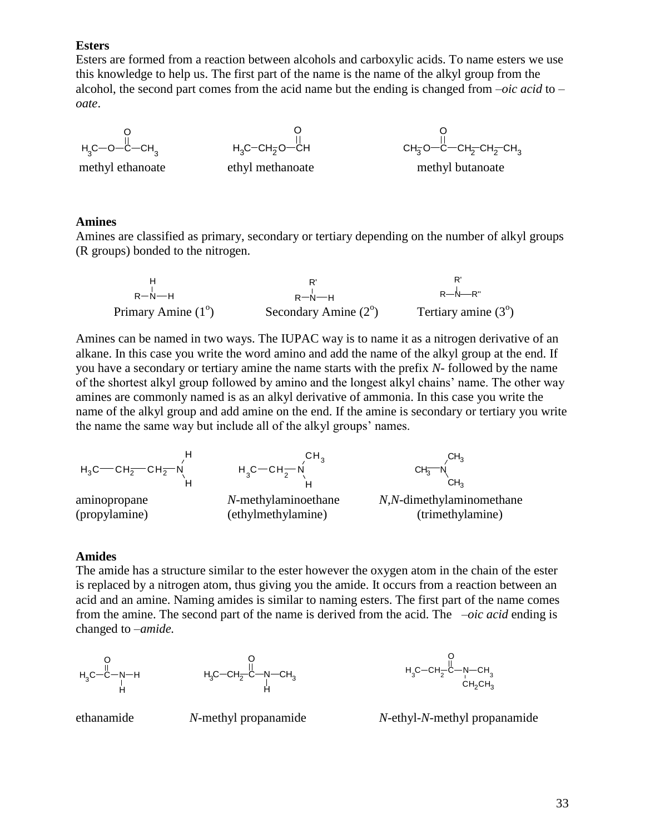#### **Esters**

Esters are formed from a reaction between alcohols and carboxylic acids. To name esters we use this knowledge to help us. The first part of the name is the name of the alkyl group from the alcohol, the second part comes from the acid name but the ending is changed from –*oic acid* to *– oate*.

$$
\begin{array}{c}\mathsf{O}\\\mathsf{H}_{3}\mathsf{C}{-}\mathsf{O}{-}\mathsf{C}{-}\mathsf{CH}_{3}\end{array}
$$

$$
\begin{array}{c}\nO \\
H_3C-CH_2O-CH\n\end{array}
$$

methyl ethanoate ethyl methanoate

$$
\begin{matrix} 0 \\ 0 \\ 0 \\ -C - CH_2-CH_2-CH_3 \end{matrix}
$$

#### **Amines**

Amines are classified as primary, secondary or tertiary depending on the number of alkyl groups (R groups) bonded to the nitrogen.

| $R - N - H$                 | $R - N - H$                   | $R - N - R$ "                |
|-----------------------------|-------------------------------|------------------------------|
| Primary Amine $(1^{\circ})$ | Secondary Amine $(2^{\circ})$ | Tertiary amine $(3^{\circ})$ |

Amines can be named in two ways. The IUPAC way is to name it as a nitrogen derivative of an alkane. In this case you write the word amino and add the name of the alkyl group at the end. If you have a secondary or tertiary amine the name starts with the prefix *N-* followed by the name of the shortest alkyl group followed by amino and the longest alkyl chains' name. The other way amines are commonly named is as an alkyl derivative of ammonia. In this case you write the name of the alkyl group and add amine on the end. If the amine is secondary or tertiary you write the name the same way but include all of the alkyl groups' names.



#### **Amides**

The amide has a structure similar to the ester however the oxygen atom in the chain of the ester is replaced by a nitrogen atom, thus giving you the amide. It occurs from a reaction between an acid and an amine. Naming amides is similar to naming esters. The first part of the name comes from the amine. The second part of the name is derived from the acid. The *–oic acid* ending is changed to *–amide.*

$$
\begin{matrix}O\\H_3C\!\!-\!\!C\!\!-\!\!N\!\!-\!\!H\\H\\H\end{matrix}
$$





ethanamide *N*-methyl propanamide *N*-ethyl-*N*-methyl propanamide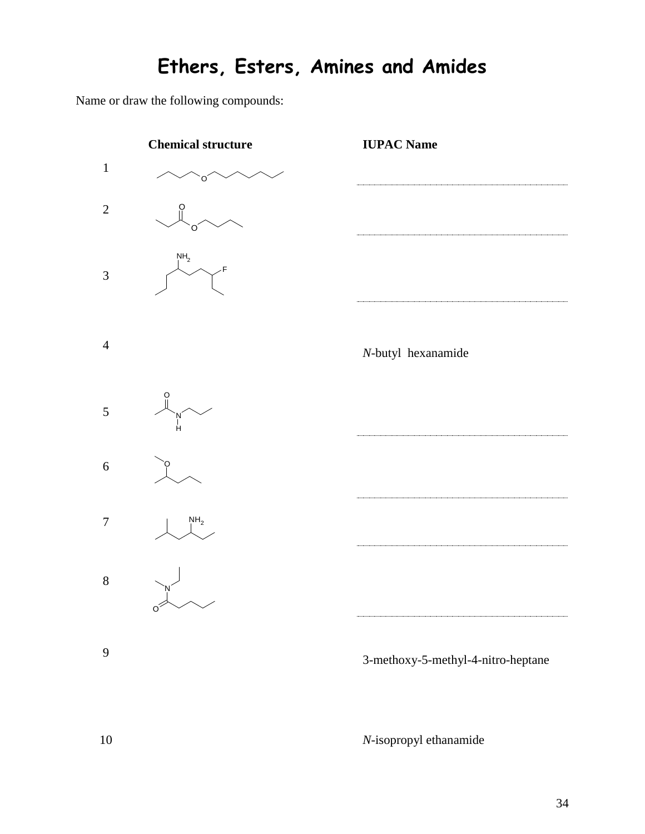# **Ethers, Esters, Amines and Amides**

Name or draw the following compounds:



10 *N*-isopropyl ethanamide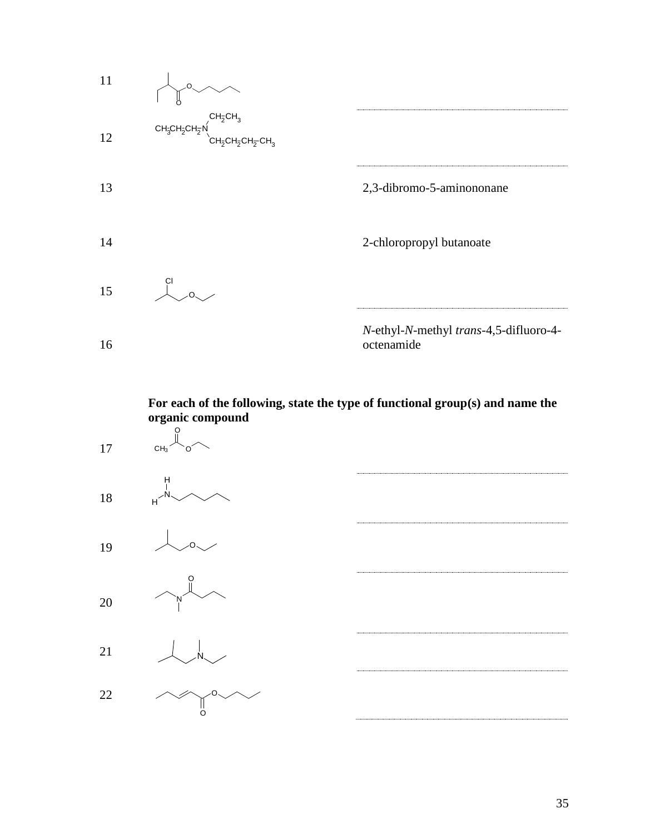

**For each of the following, state the type of functional group(s) and name the organic compound** 

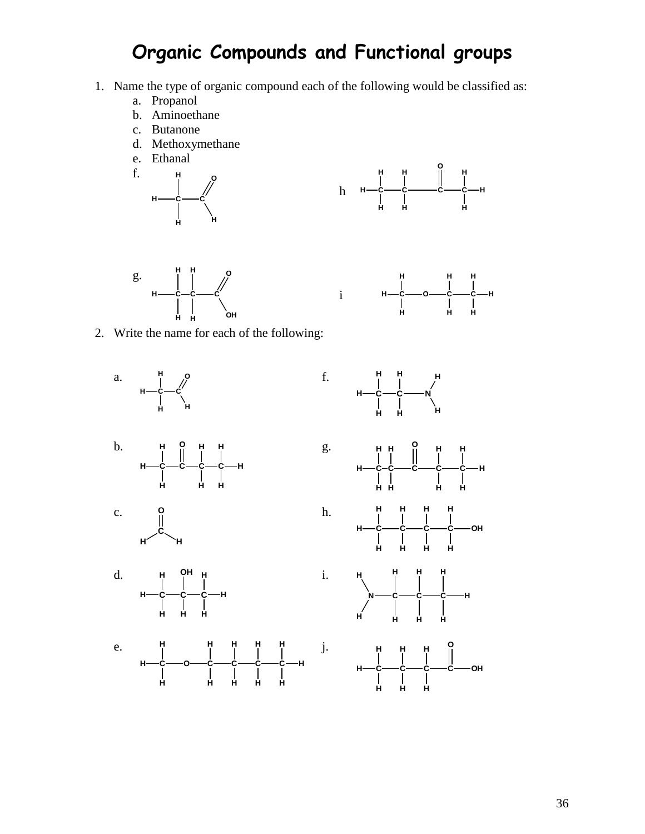## **Organic Compounds and Functional groups**

f.

i

i.

- 1. Name the type of organic compound each of the following would be classified as:
	- a. Propanol
	- b. Aminoethane
	- c. Butanone
	- d. Methoxymethane
	- e. Ethanal









2. Write the name for each of the following:









e. **C**——O——C——C——C——C **H H H H H H H H H H H**









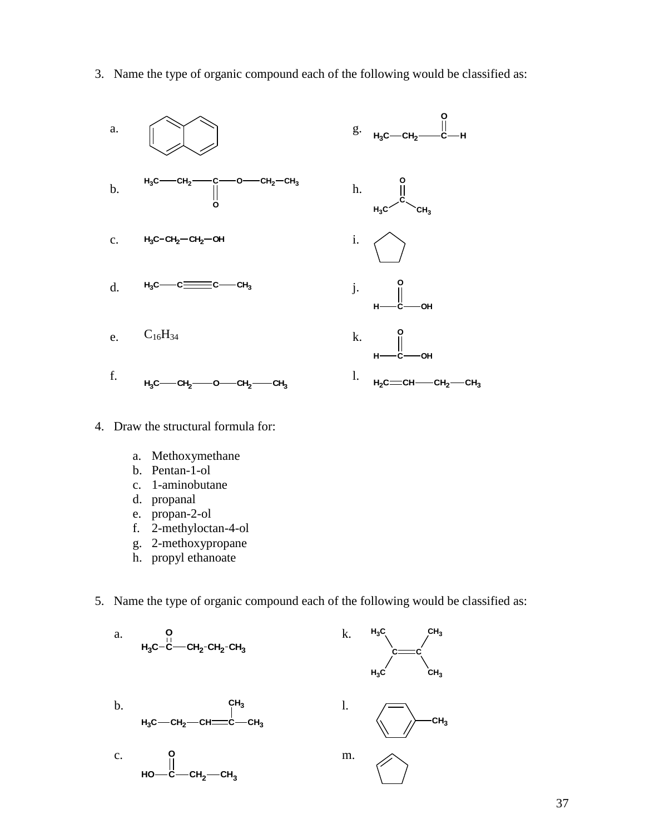- a.  $\bigcap_{i=1}^{\infty}$   $\bigcap_{i=1}^{\infty}$  g. **H3C CH<sup>2</sup> C O H** b.  $-CH<sub>2</sub> - CH<sub>3</sub>$ **O** h. **C O**  $H_3$ C c. **H3C CH<sup>2</sup> CH<sup>2</sup> OH** i. d.  $H_3C$   $-C = C$   $-C$   $H_3$ j. **C OH O H** e.  $C_{16}H_{34}$  k. **C OH O H** f.  $H_3C$ —CH<sub>2</sub> — O—CH<sub>2</sub> — CH<sub>3</sub> l.  $H_2C = CH - CH_2 - CH_3$
- 3. Name the type of organic compound each of the following would be classified as:

- 4. Draw the structural formula for:
	- a. Methoxymethane
	- b. Pentan-1-ol
	- c. 1-aminobutane
	- d. propanal
	- e. propan-2-ol
	- f. 2-methyloctan-4-ol
	- g. 2-methoxypropane
	- h. propyl ethanoate
- 5. Name the type of organic compound each of the following would be classified as:

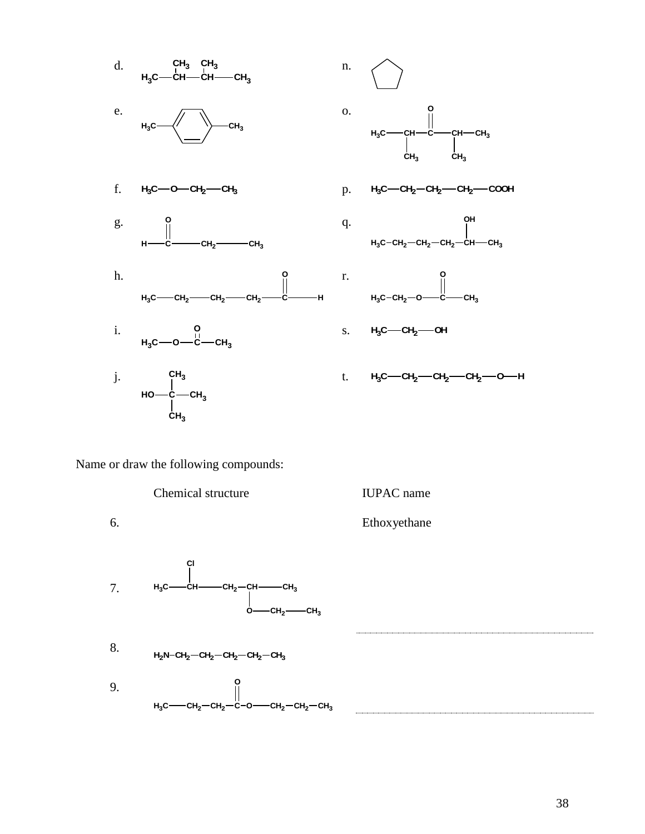

Name or draw the following compounds:

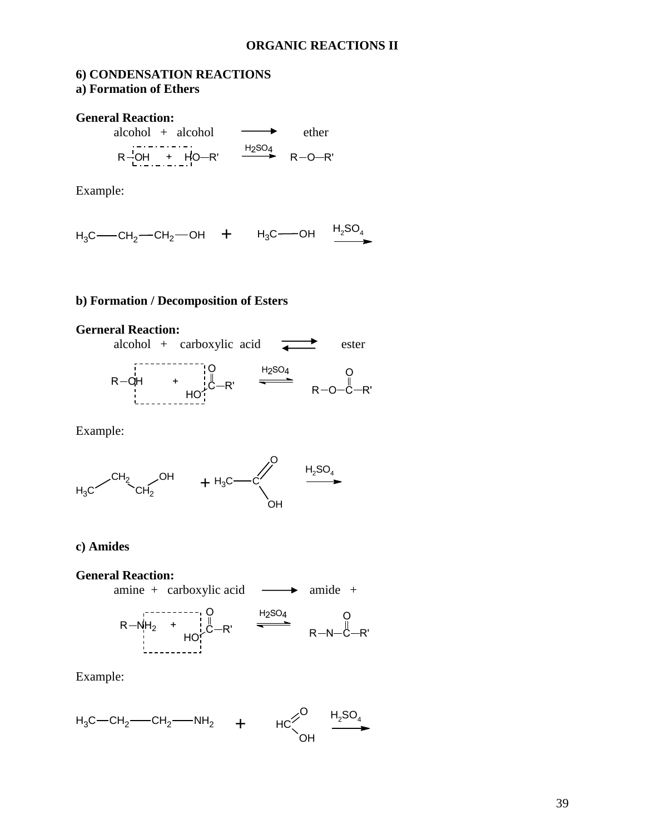#### **ORGANIC REACTIONS II**

### **6) CONDENSATION REACTIONS a) Formation of Ethers**

**General Reaction:**

 $R^{\frac{1}{2}OH}$  +  $H^{\frac{1}{2}OH}$  +  $H^{\frac{1}{2}OH}$  +  $R^{\frac{1}{2}OH}$  +  $R^{\frac{1}{2}OH}$  +  $R^{\frac{1}{2}OH}$  +  $R^{\frac{1}{2}OH}$  +  $R^{\frac{1}{2}OH}$  +  $R^{\frac{1}{2}OH}$  +  $R^{\frac{1}{2}OH}$  +  $R^{\frac{1}{2}OH}$  +  $R^{\frac{1}{2}OH}$  +  $R^{\frac{1}{2}OH}$  +  $R^{\frac{1}{2}OH}$  $alcohol + alcohol$  ether

Example:

 $H_3C$ —CH<sub>2</sub>—CH<sub>2</sub>—OH + H<sub>3</sub>C—OH  $\frac{H_2SO_4}{\bullet}$ 

#### **b) Formation / Decomposition of Esters**

## **Gerneral Reaction:**



Example:



#### **c) Amides**

 $R = \frac{1}{2}$  R  $\frac{1}{2}$  CH<sub>2</sub> - CH<sub>2</sub> - CH<sub>2</sub> - CH<sub>2</sub> - CH<sub>2</sub> - CH<sub>2</sub> - CH<sub>2</sub> - CH<sub>2</sub> - CH<sub>2</sub> - CH<sub>2</sub> - CH<sub>2</sub> - CH<sub>2</sub> - CH<sub>2</sub> - CH<sub>2</sub> - CH<sub>2</sub> - CH<sub>2</sub> - CH<sub>2</sub> - CH<sub>2</sub> - CH<sub>2</sub> - CH<sub>2</sub> - CH<sub>2</sub> - CH<sub>2</sub> - CH<sub>2</sub> - CH<sub>2</sub> - CH<sub>2</sub> + H2SO4 HO C O  $R'$   $R-N-C$ O  $R-NH_2$  +  $\stackrel{!}{\downarrow}$   $\stackrel{!}{\downarrow}$   $\stackrel{!}{\downarrow}$   $\stackrel{!}{\longleftarrow}$   $\stackrel{!}{\downarrow}$   $\stackrel{!}{\longleftarrow}$   $\stackrel{!}{\longleftarrow}$   $\stackrel{!}{\longleftarrow}$   $\stackrel{!}{\longleftarrow}$   $\stackrel{!}{\longleftarrow}$   $\stackrel{!}{\longleftarrow}$   $\stackrel{!}{\longleftarrow}$   $\stackrel{!}{\longleftarrow}$   $\stackrel{!}{\longleftarrow}$   $\stackrel{!}{\longleftarrow}$   $\stackrel{$ **General Reaction:** amine + carboxylic acid  $\longrightarrow$  amide +

Example:

$$
H_3C-CH_2\text{---}CH_2\text{---}NH_2\text{---}H\text{H}_2\text{---}H\text{---}H_2\text{---}H_2\text{---}H_2\text{---}H_2\text{---}H_2\text{---}H_2\text{---}H_2\text{---}H_2\text{---}H_2\text{---}H_2\text{---}H_2\text{---}H_2\text{---}H_2\text{---}H_2\text{---}H_2\text{---}H_2\text{---}H_2\text{---}H_2\text{---}H_2\text{---}H_2\text{---}H_2\text{---}H_2\text{---}H_2\text{---}H_2\text{---}H_2\text{---}H_2\text{---}H_2\text{---}H_2\text{---}H_2\text{---}H_2\text{---}H_2\text{---}H_2\text{---}H_2\text{---}H_2\text{---}H_2\text{---}H_2\text{---}H_2\text{---}H_2\text{---}H_2\text{---}H_2\text{---}H_2\text{---}H_2\text{---}H_2\text{---}H_2\text{---}H_2\text{---}H_2\text{---}H_2\text{---}H_2\text{---}H_2\text{---}H_2\text{---}H_2\text{---}H_2\text{---}H_2\text{---}H_2\text{---}H_2\text{---}H_2\text{---}H_2\text{---}H_2\text{---}H_2\text{---}H_2\text{---}H_2\text{---}H_2\text{---}H_2\text{---}H_2\text{---}H_2\text{---}H_2\text{---}H_2\text{---}H_2\text{---}H_2\text{---}H_2\text{---}H_2\text{---}H_2\text{---}H_2\text{---}H_2\text{---}H_2\text{---}H_2\text{---}H_2\text{---}H_2\text{---}H_2\text{---}H_2\text{---}H_2\text{---}H_2\text{---}H_2\text{---}H_2\text{---}H_2\text{---}H_2\text{---}H_2\text{---}H_2\text{---}H_2\text{---}
$$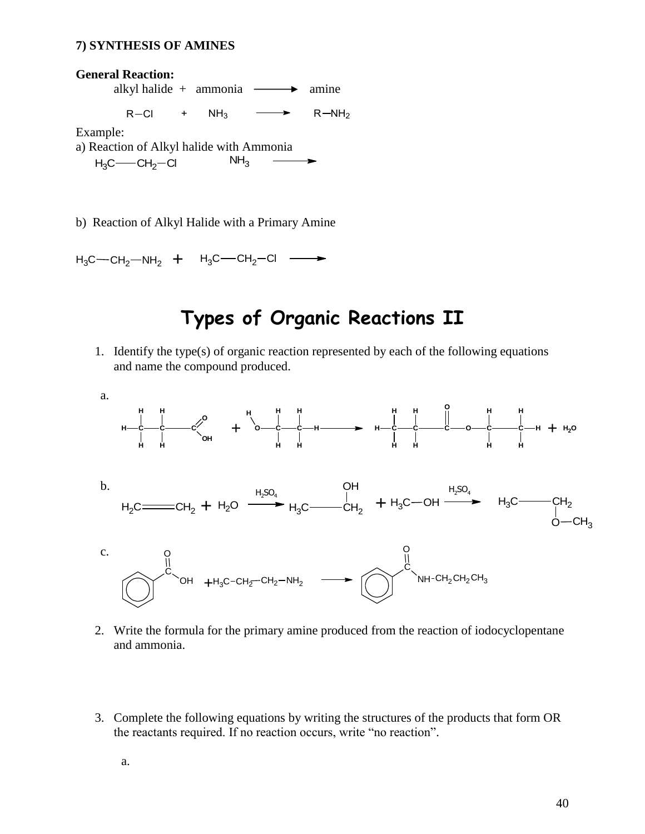#### **7) SYNTHESIS OF AMINES**



b) Reaction of Alkyl Halide with a Primary Amine

 $H_3C$ —CH<sub>2</sub>—NH<sub>2</sub> + H<sub>3</sub>C—CH<sub>2</sub>—Cl —  $\rightarrow$ 

## **Types of Organic Reactions II**

1. Identify the type(s) of organic reaction represented by each of the following equations and name the compound produced.



- 2. Write the formula for the primary amine produced from the reaction of iodocyclopentane and ammonia.
- 3. Complete the following equations by writing the structures of the products that form OR the reactants required. If no reaction occurs, write "no reaction".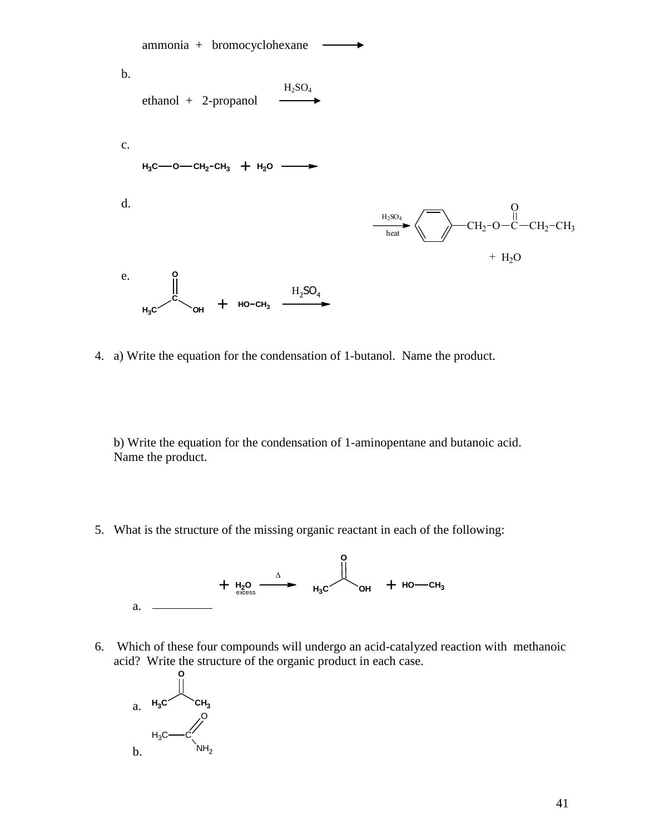

4. a) Write the equation for the condensation of 1-butanol. Name the product.

b) Write the equation for the condensation of 1-aminopentane and butanoic acid. Name the product.

5. What is the structure of the missing organic reactant in each of the following:



6. Which of these four compounds will undergo an acid-catalyzed reaction with methanoic acid? Write the structure of the organic product in each case.

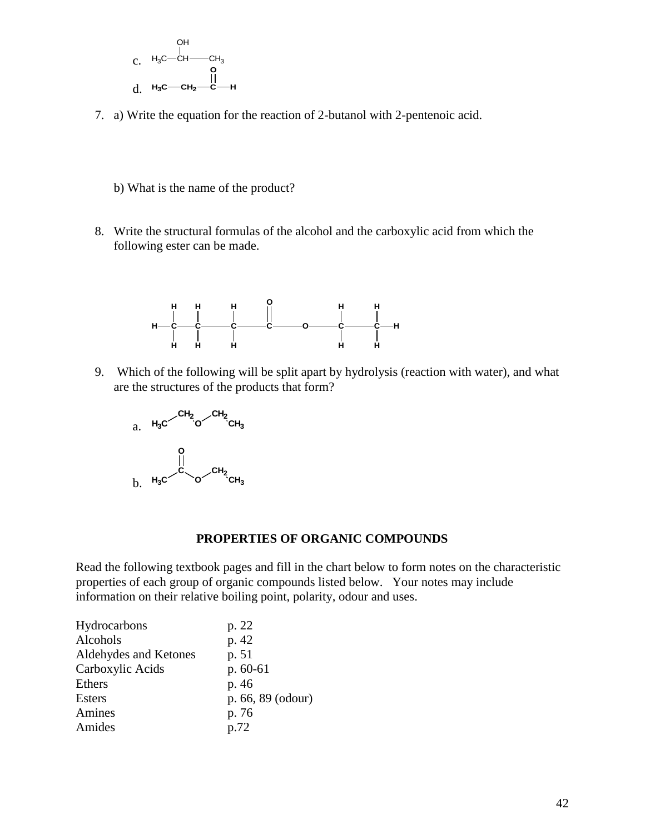

- 7. a) Write the equation for the reaction of 2-butanol with 2-pentenoic acid.
	- b) What is the name of the product?
- 8. Write the structural formulas of the alcohol and the carboxylic acid from which the following ester can be made.



9. Which of the following will be split apart by hydrolysis (reaction with water), and what are the structures of the products that form?



#### **PROPERTIES OF ORGANIC COMPOUNDS**

Read the following textbook pages and fill in the chart below to form notes on the characteristic properties of each group of organic compounds listed below. Your notes may include information on their relative boiling point, polarity, odour and uses.

| Hydrocarbons          | p. 22             |
|-----------------------|-------------------|
| Alcohols              | p. 42             |
| Aldehydes and Ketones | p. 51             |
| Carboxylic Acids      | $p.60-61$         |
| Ethers                | p. 46             |
| <b>Esters</b>         | p. 66, 89 (odour) |
| Amines                | p. 76             |
| Amides                | p.72              |
|                       |                   |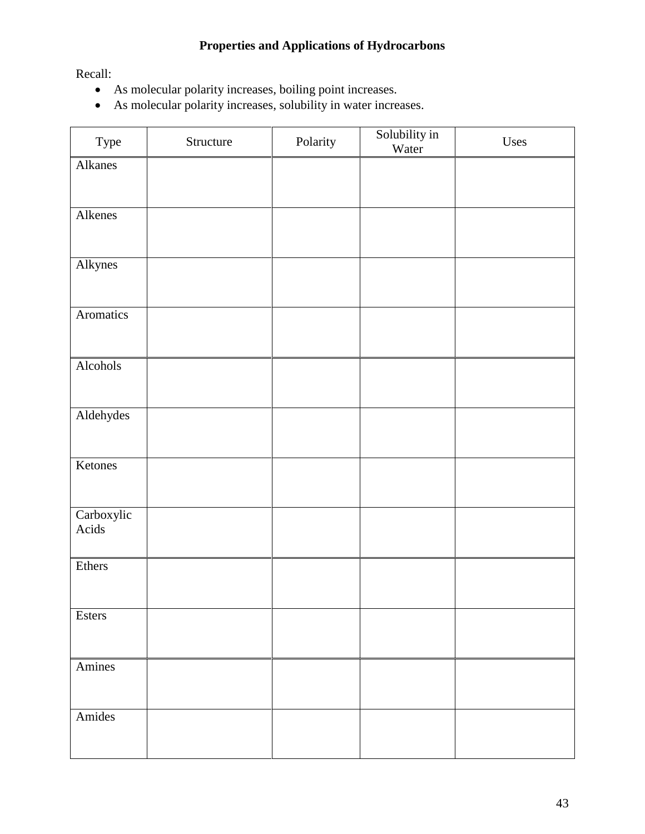## **Properties and Applications of Hydrocarbons**

Recall:

- As molecular polarity increases, boiling point increases.
- As molecular polarity increases, solubility in water increases.

| Type                | Structure | Polarity | Solubility in<br>Water | Uses |
|---------------------|-----------|----------|------------------------|------|
| Alkanes             |           |          |                        |      |
|                     |           |          |                        |      |
| Alkenes             |           |          |                        |      |
|                     |           |          |                        |      |
| Alkynes             |           |          |                        |      |
|                     |           |          |                        |      |
| Aromatics           |           |          |                        |      |
|                     |           |          |                        |      |
| Alcohols            |           |          |                        |      |
|                     |           |          |                        |      |
| Aldehydes           |           |          |                        |      |
|                     |           |          |                        |      |
| Ketones             |           |          |                        |      |
|                     |           |          |                        |      |
| Carboxylic<br>Acids |           |          |                        |      |
|                     |           |          |                        |      |
| Ethers              |           |          |                        |      |
|                     |           |          |                        |      |
| Esters              |           |          |                        |      |
|                     |           |          |                        |      |
| Amines              |           |          |                        |      |
|                     |           |          |                        |      |
| Amides              |           |          |                        |      |
|                     |           |          |                        |      |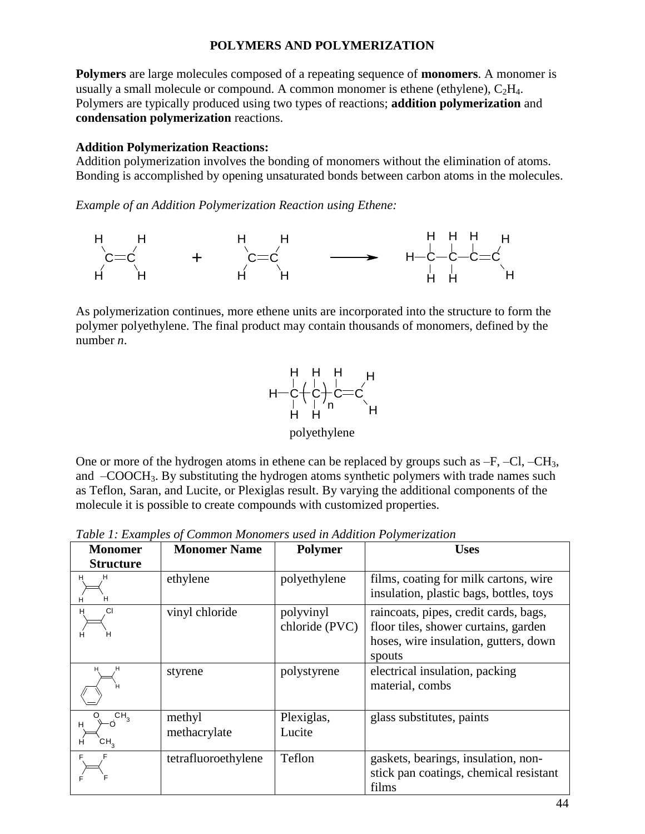### **POLYMERS AND POLYMERIZATION**

**Polymers** are large molecules composed of a repeating sequence of **monomers**. A monomer is usually a small molecule or compound. A common monomer is ethene (ethylene),  $C_2H_4$ . Polymers are typically produced using two types of reactions; **addition polymerization** and **condensation polymerization** reactions.

#### **Addition Polymerization Reactions:**

Addition polymerization involves the bonding of monomers without the elimination of atoms. Bonding is accomplished by opening unsaturated bonds between carbon atoms in the molecules.

*Example of an Addition Polymerization Reaction using Ethene:*



As polymerization continues, more ethene units are incorporated into the structure to form the polymer polyethylene. The final product may contain thousands of monomers, defined by the number *n*.



polyethylene

One or more of the hydrogen atoms in ethene can be replaced by groups such as  $-F$ ,  $-CI$ ,  $-CH_3$ , and –COOCH3. By substituting the hydrogen atoms synthetic polymers with trade names such as Teflon, Saran, and Lucite, or Plexiglas result. By varying the additional components of the molecule it is possible to create compounds with customized properties.

*Table 1: Examples of Common Monomers used in Addition Polymerization*

| <b>Monomer</b>                       | <b>Monomer Name</b>    | <b>Polymer</b>              | <b>Uses</b>                                                                                                                      |
|--------------------------------------|------------------------|-----------------------------|----------------------------------------------------------------------------------------------------------------------------------|
| <b>Structure</b>                     |                        |                             |                                                                                                                                  |
| н<br>н<br>н                          | ethylene               | polyethylene                | films, coating for milk cartons, wire<br>insulation, plastic bags, bottles, toys                                                 |
| СI<br>н<br>н<br>н                    | vinyl chloride         | polyvinyl<br>chloride (PVC) | raincoats, pipes, credit cards, bags,<br>floor tiles, shower curtains, garden<br>hoses, wire insulation, gutters, down<br>spouts |
| н<br>н                               | styrene                | polystyrene                 | electrical insulation, packing<br>material, combs                                                                                |
| CH <sub>3</sub><br>н<br>CН $_3$<br>н | methyl<br>methacrylate | Plexiglas,<br>Lucite        | glass substitutes, paints                                                                                                        |
|                                      | tetrafluoroethylene    | Teflon                      | gaskets, bearings, insulation, non-<br>stick pan coatings, chemical resistant<br>films                                           |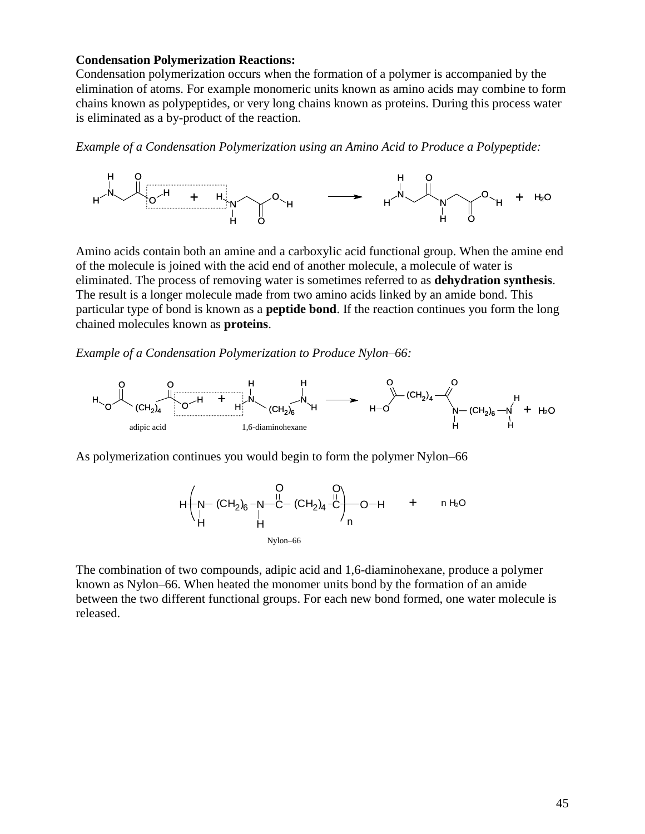#### **Condensation Polymerization Reactions:**

Condensation polymerization occurs when the formation of a polymer is accompanied by the elimination of atoms. For example monomeric units known as amino acids may combine to form chains known as polypeptides, or very long chains known as proteins. During this process water is eliminated as a by-product of the reaction.

*Example of a Condensation Polymerization using an Amino Acid to Produce a Polypeptide:*



Amino acids contain both an amine and a carboxylic acid functional group. When the amine end of the molecule is joined with the acid end of another molecule, a molecule of water is eliminated. The process of removing water is sometimes referred to as **dehydration synthesis**. The result is a longer molecule made from two amino acids linked by an amide bond. This particular type of bond is known as a **peptide bond**. If the reaction continues you form the long chained molecules known as **proteins**.

*Example of a Condensation Polymerization to Produce Nylon–66:*



As polymerization continues you would begin to form the polymer Nylon–66



The combination of two compounds, adipic acid and 1,6-diaminohexane, produce a polymer known as Nylon–66. When heated the monomer units bond by the formation of an amide between the two different functional groups. For each new bond formed, one water molecule is released.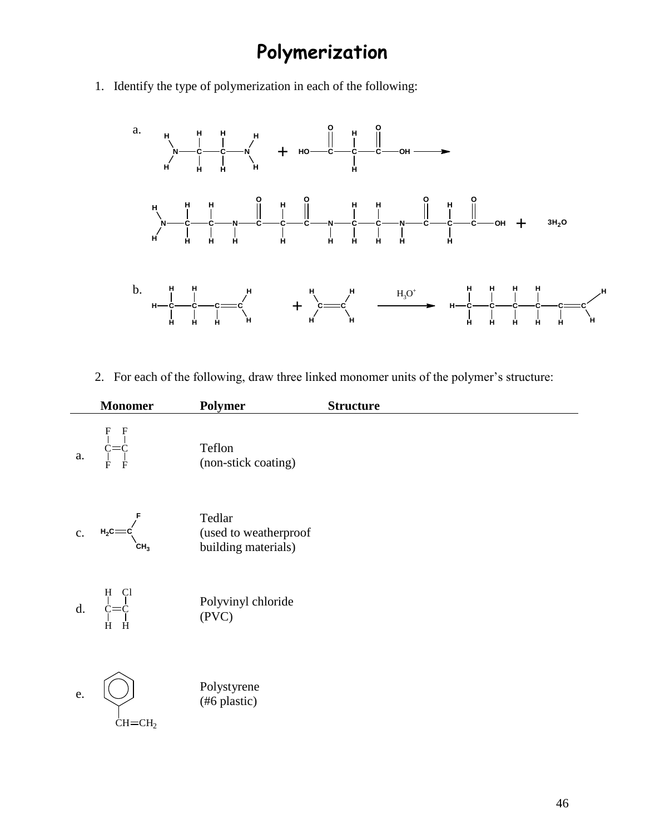# **Polymerization**

1. Identify the type of polymerization in each of the following:



2. For each of the following, draw three linked monomer units of the polymer's structure:

|                | <b>Monomer</b>                                                | Polymer                                                | <b>Structure</b> |
|----------------|---------------------------------------------------------------|--------------------------------------------------------|------------------|
| a.             | $C = C$                                                       | Teflon<br>(non-stick coating)                          |                  |
| $\mathbf{c}$ . | $H_2C =$<br>CH <sub>3</sub>                                   | Tedlar<br>(used to weatherproof<br>building materials) |                  |
| $\mathbf{d}$ . | $H \begin{array}{c} Cl \\ Cl \\ Cl = C \end{array}$<br>H<br>H | Polyvinyl chloride<br>(PVC)                            |                  |
| e.             | $CH=CH2$                                                      | Polystyrene<br>(#6 plastic)                            |                  |